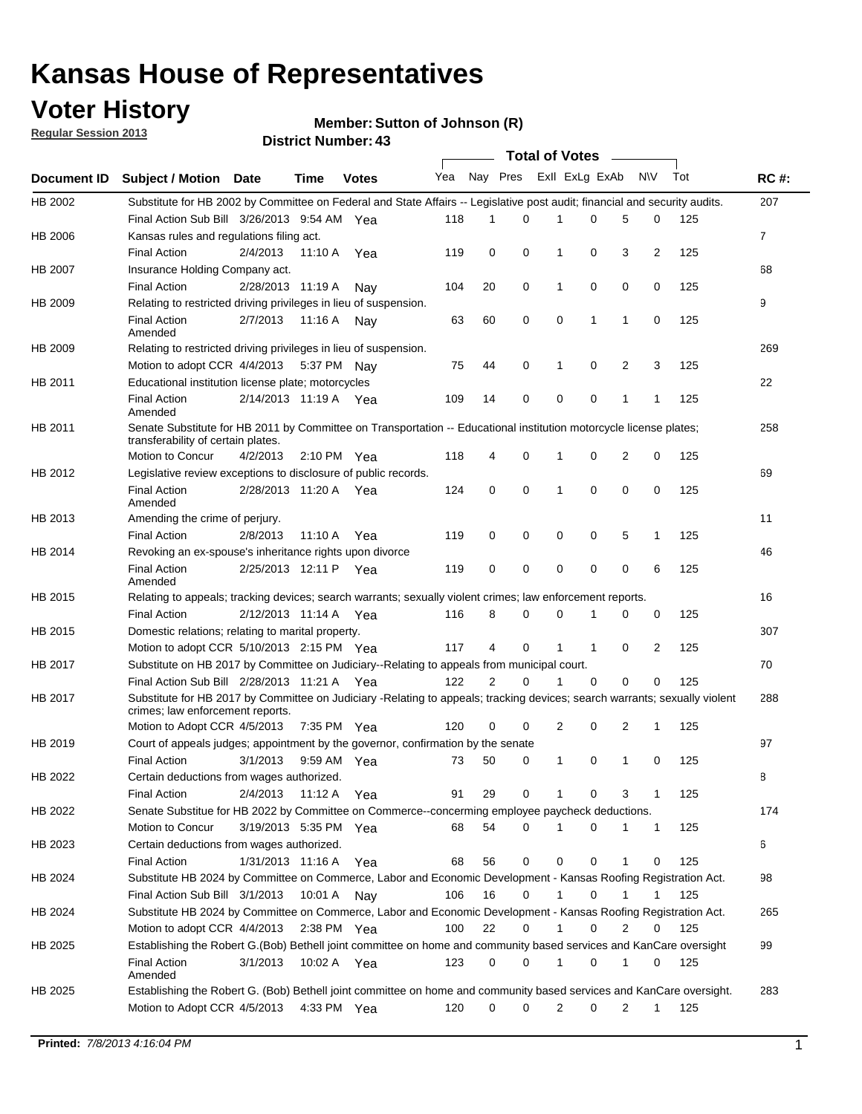## **Voter History**

**Member: Sutton of Johnson (R)** 

**Regular Session 2013**

|                    |                                                                                                                                                                |                   | ד. וסעוווער ועונוסו <b>ש</b> |              |              |    | Total of Votes _ |              |                |                |              |     |                |
|--------------------|----------------------------------------------------------------------------------------------------------------------------------------------------------------|-------------------|------------------------------|--------------|--------------|----|------------------|--------------|----------------|----------------|--------------|-----|----------------|
| <b>Document ID</b> | <b>Subject / Motion Date</b>                                                                                                                                   |                   | Time                         | <b>Votes</b> | Yea Nay Pres |    |                  |              | Exll ExLg ExAb |                | <b>NV</b>    | Tot | <b>RC#:</b>    |
| HB 2002            | Substitute for HB 2002 by Committee on Federal and State Affairs -- Legislative post audit; financial and security audits.                                     |                   |                              |              |              |    |                  |              |                |                |              |     | 207            |
|                    | Final Action Sub Bill 3/26/2013 9:54 AM Yea                                                                                                                    |                   |                              |              | 118          | 1  | $\Omega$         |              | 0              | 5              | 0            | 125 |                |
| HB 2006            | Kansas rules and regulations filing act.                                                                                                                       |                   |                              |              |              |    |                  |              |                |                |              |     | $\overline{7}$ |
|                    | <b>Final Action</b>                                                                                                                                            | 2/4/2013          | 11:10 A Yea                  |              | 119          | 0  | 0                | 1            | 0              | 3              | 2            | 125 |                |
| HB 2007            | Insurance Holding Company act.                                                                                                                                 |                   |                              |              |              |    |                  |              |                |                |              |     | 68             |
|                    | <b>Final Action</b>                                                                                                                                            | 2/28/2013 11:19 A |                              | Nav          | 104          | 20 | 0                | 1            | 0              | 0              | 0            | 125 |                |
| HB 2009            | Relating to restricted driving privileges in lieu of suspension.                                                                                               |                   |                              |              |              |    |                  |              |                |                |              |     | 9              |
|                    | <b>Final Action</b><br>Amended                                                                                                                                 | 2/7/2013          | 11:16 A                      | Nav          | 63           | 60 | 0                | 0            | 1              | 1              | 0            | 125 |                |
| HB 2009            | Relating to restricted driving privileges in lieu of suspension.                                                                                               |                   |                              |              |              |    |                  |              |                |                |              |     | 269            |
|                    | Motion to adopt CCR 4/4/2013                                                                                                                                   |                   | 5:37 PM Nay                  |              | 75           | 44 | 0                | 1            | 0              | 2              | 3            | 125 |                |
| HB 2011            | Educational institution license plate; motorcycles                                                                                                             |                   |                              |              |              |    |                  |              |                |                |              |     | 22             |
|                    | <b>Final Action</b><br>Amended                                                                                                                                 |                   | 2/14/2013 11:19 A Yea        |              | 109          | 14 | 0                | 0            | 0              | 1              | 1            | 125 |                |
| HB 2011            | Senate Substitute for HB 2011 by Committee on Transportation -- Educational institution motorcycle license plates;                                             |                   |                              |              |              |    |                  |              |                |                |              |     | 258            |
|                    | transferability of certain plates.                                                                                                                             |                   |                              |              |              |    |                  |              |                |                |              |     |                |
|                    | Motion to Concur                                                                                                                                               | 4/2/2013          | $2:10 \text{ PM}$ Yea        |              | 118          | 4  | 0                | $\mathbf 1$  | 0              | $\overline{2}$ | 0            | 125 |                |
| HB 2012            | Legislative review exceptions to disclosure of public records.                                                                                                 |                   |                              |              |              |    |                  |              |                |                |              |     | 69             |
|                    | <b>Final Action</b><br>Amended                                                                                                                                 |                   | 2/28/2013 11:20 A Yea        |              | 124          | 0  | 0                | 1            | 0              | 0              | 0            | 125 |                |
| HB 2013            | Amending the crime of perjury.                                                                                                                                 |                   |                              |              |              |    |                  |              |                |                |              |     | 11             |
|                    | <b>Final Action</b>                                                                                                                                            | 2/8/2013          | 11:10 A                      | Yea          | 119          | 0  | 0                | 0            | 0              | 5              | 1            | 125 |                |
| HB 2014            | Revoking an ex-spouse's inheritance rights upon divorce                                                                                                        |                   |                              |              |              |    |                  |              |                |                |              |     | 46             |
|                    | <b>Final Action</b><br>Amended                                                                                                                                 |                   | 2/25/2013 12:11 P            | Yea          | 119          | 0  | $\mathbf 0$      | 0            | 0              | 0              | 6            | 125 |                |
| HB 2015            | Relating to appeals; tracking devices; search warrants; sexually violent crimes; law enforcement reports.                                                      |                   |                              |              |              |    |                  |              |                |                |              |     | 16             |
|                    | <b>Final Action</b>                                                                                                                                            |                   | 2/12/2013 11:14 A            | Yea          | 116          | 8  | 0                | 0            | 1              | 0              | 0            | 125 |                |
| HB 2015            | Domestic relations; relating to marital property.                                                                                                              |                   |                              |              |              |    |                  |              |                |                |              |     | 307            |
|                    | Motion to adopt CCR 5/10/2013 2:15 PM Yea                                                                                                                      |                   |                              |              | 117          | 4  | 0                | $\mathbf{1}$ | $\mathbf{1}$   | 0              | 2            | 125 |                |
| HB 2017            | Substitute on HB 2017 by Committee on Judiciary--Relating to appeals from municipal court.                                                                     |                   |                              |              |              |    |                  |              |                |                |              |     | 70             |
|                    | Final Action Sub Bill 2/28/2013 11:21 A Yea                                                                                                                    |                   |                              |              | 122          | 2  | 0                | 1            | 0              | 0              | 0            | 125 |                |
| HB 2017            | Substitute for HB 2017 by Committee on Judiciary -Relating to appeals; tracking devices; search warrants; sexually violent<br>crimes; law enforcement reports. |                   |                              |              |              |    |                  |              |                |                |              |     | 288            |
|                    | Motion to Adopt CCR 4/5/2013                                                                                                                                   |                   | 7:35 PM Yea                  |              | 120          | 0  | 0                | 2            | 0              | 2              | 1            | 125 |                |
| HB 2019            | Court of appeals judges; appointment by the governor, confirmation by the senate                                                                               |                   |                              |              |              |    |                  |              |                |                |              |     | 97             |
|                    | Final Action                                                                                                                                                   | 3/1/2013          | 9:59 AM Yea                  |              | 73           | 50 | 0                | 1            | 0              | 1              | 0            | 125 |                |
| HB 2022            | Certain deductions from wages authorized.                                                                                                                      |                   |                              |              |              |    |                  |              |                |                |              |     | 8              |
|                    | <b>Final Action</b>                                                                                                                                            | 2/4/2013          | 11:12 A                      | Yea          | 91           | 29 | 0                |              | 0              | 3              | 1            | 125 |                |
| HB 2022            | Senate Substitue for HB 2022 by Committee on Commerce--concerming employee paycheck deductions.                                                                |                   |                              |              |              |    |                  |              |                |                |              |     | 174            |
|                    | Motion to Concur                                                                                                                                               |                   | 3/19/2013 5:35 PM Yea        |              | 68           | 54 | 0                | 1            | 0              | 1              | $\mathbf{1}$ | 125 |                |
| HB 2023            | Certain deductions from wages authorized.                                                                                                                      |                   |                              |              |              |    |                  |              |                |                |              |     | 6              |
|                    | <b>Final Action</b>                                                                                                                                            | 1/31/2013 11:16 A |                              | Yea          | 68           | 56 | 0                | 0            | 0              | 1              | 0            | 125 |                |
| HB 2024            | Substitute HB 2024 by Committee on Commerce, Labor and Economic Development - Kansas Roofing Registration Act.                                                 |                   |                              |              |              |    |                  |              |                |                |              |     | 98             |
|                    | Final Action Sub Bill 3/1/2013                                                                                                                                 |                   | 10:01 A                      | Nav          | 106          | 16 | 0                | 1            | 0              | 1              | 1            | 125 |                |
| HB 2024            | Substitute HB 2024 by Committee on Commerce, Labor and Economic Development - Kansas Roofing Registration Act.                                                 |                   |                              |              |              |    |                  |              |                |                |              |     | 265            |
|                    |                                                                                                                                                                |                   | 2:38 PM Yea                  |              | 100          | 22 | 0                | 1            | 0              | 2              | 0            | 125 |                |
|                    | Motion to adopt CCR 4/4/2013                                                                                                                                   |                   |                              |              |              |    |                  |              |                |                |              |     |                |
| HB 2025            | Establishing the Robert G.(Bob) Bethell joint committee on home and community based services and KanCare oversight                                             |                   |                              |              |              |    |                  |              |                |                |              |     | 99             |
|                    | <b>Final Action</b><br>Amended                                                                                                                                 | 3/1/2013          | 10:02 A Yea                  |              | 123          | 0  | 0                | $\mathbf{1}$ | 0              | 1              | 0            | 125 |                |
| HB 2025            | Establishing the Robert G. (Bob) Bethell joint committee on home and community based services and KanCare oversight.                                           |                   |                              |              |              |    |                  |              |                |                |              |     | 283            |
|                    |                                                                                                                                                                |                   |                              |              |              |    |                  |              |                |                |              |     |                |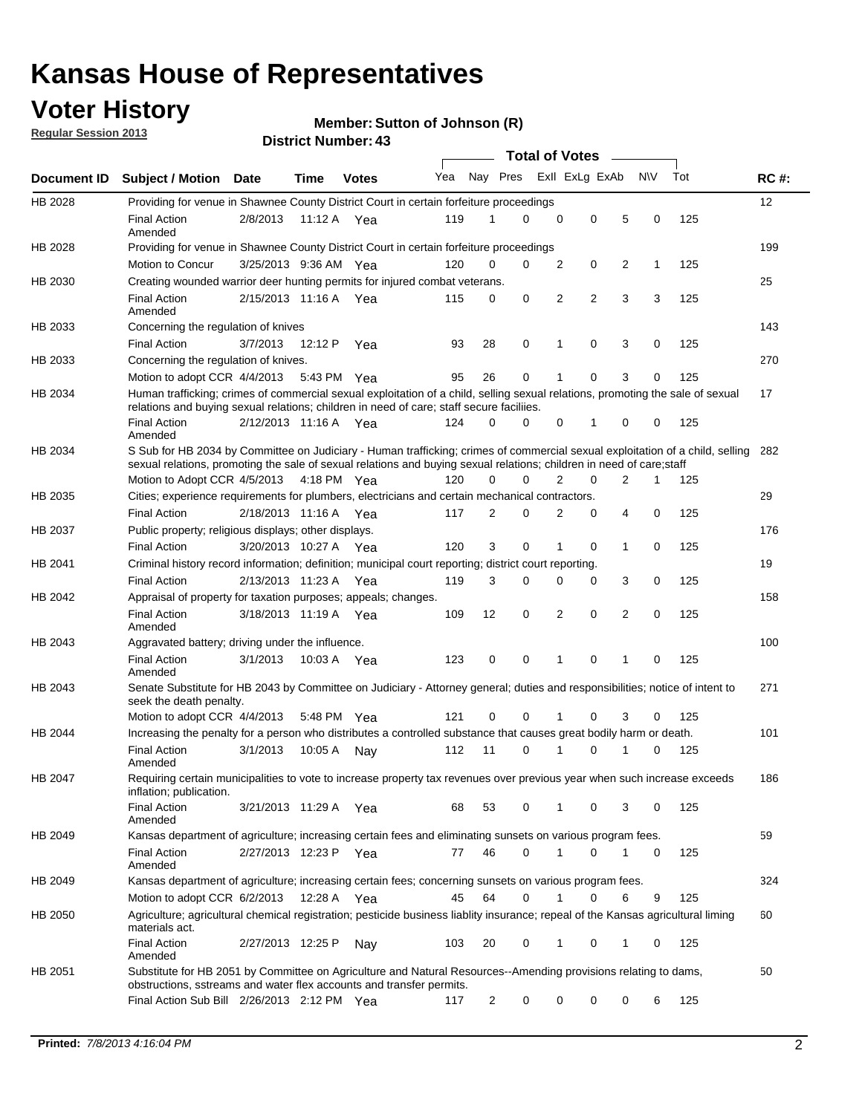## **Voter History**

**Member: Sutton of Johnson (R)** 

**Regular Session 2013**

|                    |                                                                                                                                                                                                                                                       |                       |         |              |     |                         | <b>Total of Votes</b> |                |   |                |           |     |             |
|--------------------|-------------------------------------------------------------------------------------------------------------------------------------------------------------------------------------------------------------------------------------------------------|-----------------------|---------|--------------|-----|-------------------------|-----------------------|----------------|---|----------------|-----------|-----|-------------|
| <b>Document ID</b> | <b>Subject / Motion Date</b>                                                                                                                                                                                                                          |                       | Time    | <b>Votes</b> | Yea | Nay Pres Exll ExLg ExAb |                       |                |   |                | <b>NV</b> | Tot | <b>RC#:</b> |
| HB 2028            | Providing for venue in Shawnee County District Court in certain forfeiture proceedings                                                                                                                                                                |                       |         |              |     |                         |                       |                |   |                |           |     | 12          |
|                    | <b>Final Action</b><br>Amended                                                                                                                                                                                                                        | 2/8/2013              | 11:12 A | Yea          | 119 | 1                       | 0                     | 0              | 0 | 5              | 0         | 125 |             |
| HB 2028            | Providing for venue in Shawnee County District Court in certain forfeiture proceedings                                                                                                                                                                |                       |         |              |     |                         |                       |                |   |                |           |     | 199         |
|                    | Motion to Concur                                                                                                                                                                                                                                      | 3/25/2013 9:36 AM Yea |         |              | 120 | 0                       | 0                     | 2              | 0 | 2              | 1         | 125 |             |
| HB 2030            | Creating wounded warrior deer hunting permits for injured combat veterans.                                                                                                                                                                            |                       |         |              |     |                         |                       |                |   |                |           |     | 25          |
|                    | <b>Final Action</b><br>Amended                                                                                                                                                                                                                        | 2/15/2013 11:16 A Yea |         |              | 115 | 0                       | 0                     | 2              | 2 | 3              | 3         | 125 |             |
| HB 2033            | Concerning the regulation of knives                                                                                                                                                                                                                   |                       |         |              |     |                         |                       |                |   |                |           |     | 143         |
|                    | <b>Final Action</b>                                                                                                                                                                                                                                   | 3/7/2013              | 12:12 P | Yea          | 93  | 28                      | 0                     | 1              | 0 | 3              | 0         | 125 |             |
| HB 2033            | Concerning the regulation of knives.                                                                                                                                                                                                                  |                       |         |              |     |                         |                       |                |   |                |           |     | 270         |
|                    | Motion to adopt CCR 4/4/2013                                                                                                                                                                                                                          |                       |         | 5:43 PM Yea  | 95  | 26                      | 0                     |                | 0 | 3              | 0         | 125 |             |
| HB 2034            | Human trafficking; crimes of commercial sexual exploitation of a child, selling sexual relations, promoting the sale of sexual<br>relations and buying sexual relations; children in need of care; staff secure faciliies.                            |                       |         |              |     |                         |                       |                |   |                |           |     | 17          |
|                    | <b>Final Action</b><br>Amended                                                                                                                                                                                                                        | 2/12/2013 11:16 A Yea |         |              | 124 | 0                       | 0                     | 0              | 1 | 0              | 0         | 125 |             |
| HB 2034            | S Sub for HB 2034 by Committee on Judiciary - Human trafficking; crimes of commercial sexual exploitation of a child, selling<br>sexual relations, promoting the sale of sexual relations and buying sexual relations; children in need of care;staff |                       |         |              |     |                         |                       |                |   |                |           |     | 282         |
|                    | Motion to Adopt CCR 4/5/2013 4:18 PM Yea                                                                                                                                                                                                              |                       |         |              | 120 | 0                       | 0                     | $\overline{2}$ | 0 | $\overline{2}$ | 1         | 125 |             |
| HB 2035            | Cities; experience requirements for plumbers, electricians and certain mechanical contractors.                                                                                                                                                        |                       |         |              |     |                         |                       |                |   |                |           |     | 29          |
|                    | <b>Final Action</b>                                                                                                                                                                                                                                   | 2/18/2013 11:16 A     |         | Yea          | 117 | 2                       | 0                     | 2              | 0 | 4              | 0         | 125 |             |
| HB 2037            | Public property; religious displays; other displays.                                                                                                                                                                                                  |                       |         |              |     |                         |                       |                |   |                |           |     | 176         |
|                    | <b>Final Action</b>                                                                                                                                                                                                                                   | 3/20/2013 10:27 A     |         | Yea          | 120 | 3                       | 0                     |                | 0 | 1              | 0         | 125 |             |
| HB 2041            | Criminal history record information; definition; municipal court reporting; district court reporting.                                                                                                                                                 |                       |         |              |     |                         |                       |                |   |                |           |     | 19          |
|                    | <b>Final Action</b>                                                                                                                                                                                                                                   | 2/13/2013 11:23 A     |         | Yea          | 119 | 3                       | 0                     | 0              | 0 | 3              | 0         | 125 |             |
| HB 2042            | Appraisal of property for taxation purposes; appeals; changes.                                                                                                                                                                                        |                       |         |              |     |                         |                       |                |   |                |           |     | 158         |
|                    | <b>Final Action</b><br>Amended                                                                                                                                                                                                                        | 3/18/2013 11:19 A Yea |         |              | 109 | 12                      | 0                     | 2              | 0 | 2              | 0         | 125 |             |
| HB 2043            | Aggravated battery; driving under the influence.                                                                                                                                                                                                      |                       |         |              |     |                         |                       |                |   |                |           |     | 100         |
|                    | <b>Final Action</b><br>Amended                                                                                                                                                                                                                        | 3/1/2013              |         | 10:03 A Yea  | 123 | 0                       | 0                     | 1              | 0 | 1              | 0         | 125 |             |
| HB 2043            | Senate Substitute for HB 2043 by Committee on Judiciary - Attorney general; duties and responsibilities; notice of intent to<br>seek the death penalty.                                                                                               |                       |         |              |     |                         |                       |                |   |                |           |     | 271         |
|                    | Motion to adopt CCR 4/4/2013                                                                                                                                                                                                                          |                       |         | 5:48 PM Yea  | 121 | 0                       | 0                     | 1              | 0 | 3              | 0         | 125 |             |
| HB 2044            | Increasing the penalty for a person who distributes a controlled substance that causes great bodily harm or death.                                                                                                                                    |                       |         |              |     |                         |                       |                |   |                |           |     | 101         |
|                    | <b>Final Action</b><br>Amended                                                                                                                                                                                                                        | 3/1/2013              | 10:05 A | Nay          | 112 | 11                      | 0                     | 1              | 0 | 1              | 0         | 125 |             |
| HB 2047            | Requiring certain municipalities to vote to increase property tax revenues over previous year when such increase exceeds<br>inflation; publication.                                                                                                   |                       |         |              |     |                         |                       |                |   |                |           |     | 186         |
|                    | <b>Final Action</b><br>Amended                                                                                                                                                                                                                        | 3/21/2013 11:29 A Yea |         |              | 68  | 53                      | 0                     | 1              | 0 | 3              | 0         | 125 |             |
| HB 2049            | Kansas department of agriculture; increasing certain fees and eliminating sunsets on various program fees.                                                                                                                                            |                       |         |              |     |                         |                       |                |   |                |           |     | 59          |
|                    | <b>Final Action</b><br>Amended                                                                                                                                                                                                                        | 2/27/2013 12:23 P     |         | Yea          | 77  | 46                      | 0                     | 1              | 0 |                | 0         | 125 |             |
| HB 2049            | Kansas department of agriculture; increasing certain fees; concerning sunsets on various program fees.                                                                                                                                                |                       |         |              |     |                         |                       |                |   |                |           |     | 324         |
|                    | Motion to adopt CCR 6/2/2013                                                                                                                                                                                                                          |                       | 12:28 A | Yea          | 45  | 64                      | 0                     | 1              | 0 | 6              | 9         | 125 |             |
| HB 2050            | Agriculture; agricultural chemical registration; pesticide business liablity insurance; repeal of the Kansas agricultural liming<br>materials act.                                                                                                    |                       |         |              |     |                         |                       |                |   |                |           |     | 60          |
|                    | <b>Final Action</b><br>Amended                                                                                                                                                                                                                        | 2/27/2013 12:25 P     |         | Nay          | 103 | 20                      | 0                     |                | 0 | 1              | 0         | 125 |             |
| HB 2051            | Substitute for HB 2051 by Committee on Agriculture and Natural Resources--Amending provisions relating to dams,<br>obstructions, sstreams and water flex accounts and transfer permits.                                                               |                       |         |              |     |                         |                       |                |   |                |           |     | 50          |
|                    | Final Action Sub Bill 2/26/2013 2:12 PM Yea                                                                                                                                                                                                           |                       |         |              | 117 | $\overline{c}$          | 0                     | 0              | 0 | 0              | 6         | 125 |             |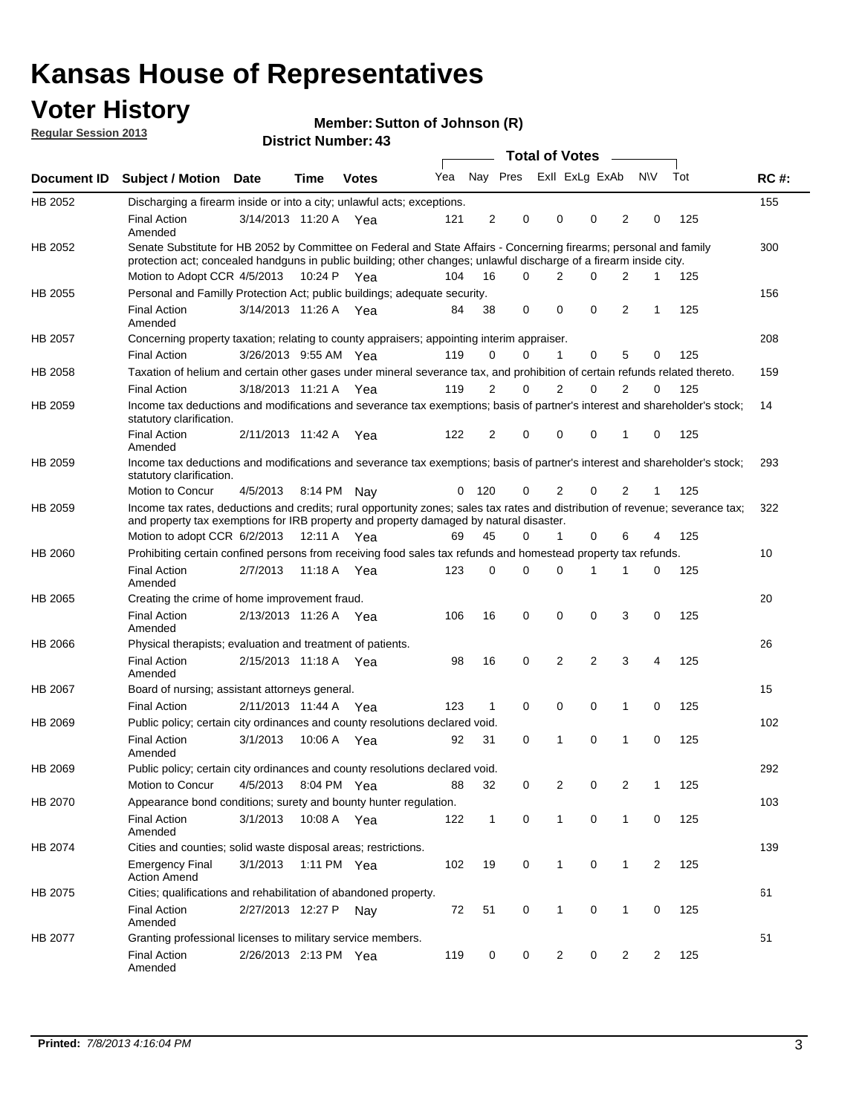## **Voter History**

**Member: Sutton of Johnson (R)** 

**Regular Session 2013**

|                |                                                                                                                                                                                                                                          |                       |         |              |     |              |                         | <b>Total of Votes</b> |                |             | $\overline{\phantom{0}}$ |              |     |             |
|----------------|------------------------------------------------------------------------------------------------------------------------------------------------------------------------------------------------------------------------------------------|-----------------------|---------|--------------|-----|--------------|-------------------------|-----------------------|----------------|-------------|--------------------------|--------------|-----|-------------|
| Document ID    | <b>Subject / Motion Date</b>                                                                                                                                                                                                             |                       | Time    | <b>Votes</b> | Yea |              | Nay Pres ExII ExLg ExAb |                       |                |             |                          | N\V          | Tot | <b>RC#:</b> |
| HB 2052        | Discharging a firearm inside or into a city; unlawful acts; exceptions.                                                                                                                                                                  |                       |         |              |     |              |                         |                       |                |             |                          |              |     | 155         |
|                | <b>Final Action</b><br>Amended                                                                                                                                                                                                           | 3/14/2013 11:20 A Yea |         |              | 121 | 2            | 0                       |                       | 0              | 0           | $\overline{2}$           | 0            | 125 |             |
| HB 2052        | Senate Substitute for HB 2052 by Committee on Federal and State Affairs - Concerning firearms; personal and family<br>protection act; concealed handguns in public building; other changes; unlawful discharge of a firearm inside city. |                       |         |              |     |              |                         |                       |                |             |                          |              |     | 300         |
|                | Motion to Adopt CCR 4/5/2013 10:24 P Yea                                                                                                                                                                                                 |                       |         |              | 104 | 16           | 0                       |                       | $\overline{2}$ | 0           | $\overline{2}$           | $\mathbf{1}$ | 125 |             |
| <b>HB 2055</b> | Personal and Familly Protection Act; public buildings; adequate security.                                                                                                                                                                |                       |         |              |     |              |                         |                       |                |             |                          |              |     | 156         |
|                | <b>Final Action</b><br>Amended                                                                                                                                                                                                           | 3/14/2013 11:26 A     |         | Yea          | 84  | 38           | 0                       |                       | 0              | $\mathbf 0$ | $\overline{2}$           | $\mathbf{1}$ | 125 |             |
| HB 2057        | Concerning property taxation; relating to county appraisers; appointing interim appraiser.                                                                                                                                               |                       |         |              |     |              |                         |                       |                |             |                          |              |     | 208         |
|                | <b>Final Action</b>                                                                                                                                                                                                                      | 3/26/2013 9:55 AM Yea |         |              | 119 | 0            | 0                       |                       | $\mathbf{1}$   | $\mathbf 0$ | 5                        | 0            | 125 |             |
| HB 2058        | Taxation of helium and certain other gases under mineral severance tax, and prohibition of certain refunds related thereto.                                                                                                              |                       |         |              |     |              |                         |                       |                |             |                          |              |     | 159         |
|                | <b>Final Action</b>                                                                                                                                                                                                                      | 3/18/2013 11:21 A Yea |         |              | 119 | 2            | 0                       |                       | 2              | $\Omega$    | 2                        | 0            | 125 |             |
| HB 2059        | Income tax deductions and modifications and severance tax exemptions; basis of partner's interest and shareholder's stock;<br>statutory clarification.                                                                                   |                       |         |              |     |              |                         |                       |                |             |                          |              |     | 14          |
|                | <b>Final Action</b><br>Amended                                                                                                                                                                                                           | 2/11/2013 11:42 A Yea |         |              | 122 | 2            | 0                       |                       | 0              | 0           | 1                        | 0            | 125 |             |
| HB 2059        | Income tax deductions and modifications and severance tax exemptions; basis of partner's interest and shareholder's stock;<br>statutory clarification.                                                                                   |                       |         |              |     |              |                         |                       |                |             |                          |              |     | 293         |
|                | Motion to Concur                                                                                                                                                                                                                         | 4/5/2013              |         | 8:14 PM Nav  | 0   | 120          | 0                       |                       | $\overline{2}$ | 0           | $\overline{2}$           | 1            | 125 |             |
| HB 2059        | Income tax rates, deductions and credits; rural opportunity zones; sales tax rates and distribution of revenue; severance tax;<br>and property tax exemptions for IRB property and property damaged by natural disaster.                 |                       |         |              |     |              |                         |                       |                |             |                          |              |     | 322         |
|                | Motion to adopt CCR 6/2/2013                                                                                                                                                                                                             |                       |         | 12:11 A Yea  | 69  | 45           | 0                       |                       | 1              | 0           | 6                        | 4            | 125 |             |
| HB 2060        | Prohibiting certain confined persons from receiving food sales tax refunds and homestead property tax refunds.                                                                                                                           |                       |         |              |     |              |                         |                       |                |             |                          |              |     | 10          |
|                | <b>Final Action</b><br>Amended                                                                                                                                                                                                           | 2/7/2013              | 11:18 A | Yea          | 123 | 0            | 0                       |                       | $\Omega$       | 1           | 1                        | 0            | 125 |             |
| HB 2065        | Creating the crime of home improvement fraud.                                                                                                                                                                                            |                       |         |              |     |              |                         |                       |                |             |                          |              |     | 20          |
|                | <b>Final Action</b><br>Amended                                                                                                                                                                                                           | 2/13/2013 11:26 A Yea |         |              | 106 | 16           | 0                       |                       | 0              | 0           | 3                        | 0            | 125 |             |
| HB 2066        | Physical therapists; evaluation and treatment of patients.                                                                                                                                                                               |                       |         |              |     |              |                         |                       |                |             |                          |              |     | 26          |
|                | <b>Final Action</b><br>Amended                                                                                                                                                                                                           | 2/15/2013 11:18 A Yea |         |              | 98  | 16           | 0                       |                       | $\overline{2}$ | 2           | 3                        | 4            | 125 |             |
| HB 2067        | Board of nursing; assistant attorneys general.                                                                                                                                                                                           |                       |         |              |     |              |                         |                       |                |             |                          |              |     | 15          |
|                | <b>Final Action</b>                                                                                                                                                                                                                      | 2/11/2013 11:44 A Yea |         |              | 123 | $\mathbf{1}$ | 0                       |                       | 0              | 0           | 1                        | 0            | 125 |             |
| HB 2069        | Public policy; certain city ordinances and county resolutions declared void.                                                                                                                                                             |                       |         |              |     |              |                         |                       |                |             |                          |              |     | 102         |
|                | <b>Final Action</b><br>Amended                                                                                                                                                                                                           | 3/1/2013              | 10:06 A | Yea          | 92  | 31           | 0                       |                       |                | 0           | 1                        | 0            | 125 |             |
| HB 2069        | Public policy; certain city ordinances and county resolutions declared void.                                                                                                                                                             |                       |         |              |     |              |                         |                       |                |             |                          |              |     | 292         |
|                | Motion to Concur                                                                                                                                                                                                                         | 4/5/2013              |         | 8:04 PM Yea  | 88  | 32           | 0                       |                       | 2              | 0           | 2                        | 1            | 125 |             |
| HB 2070        | Appearance bond conditions; surety and bounty hunter regulation.                                                                                                                                                                         |                       |         |              |     |              |                         |                       |                |             |                          |              |     | 103         |
|                | <b>Final Action</b><br>Amended                                                                                                                                                                                                           | 3/1/2013              |         | 10:08 A Yea  | 122 | $\mathbf{1}$ | 0                       |                       | 1              | 0           | $\mathbf{1}$             | 0            | 125 |             |
| HB 2074        | Cities and counties; solid waste disposal areas; restrictions.                                                                                                                                                                           |                       |         |              |     |              |                         |                       |                |             |                          |              |     | 139         |
|                | <b>Emergency Final</b><br><b>Action Amend</b>                                                                                                                                                                                            | 3/1/2013              |         | 1:11 PM Yea  | 102 | 19           | 0                       |                       | 1              | 0           | 1                        | 2            | 125 |             |
| HB 2075        | Cities; qualifications and rehabilitation of abandoned property.                                                                                                                                                                         |                       |         |              |     |              |                         |                       |                |             |                          |              |     | 61          |
|                | <b>Final Action</b><br>Amended                                                                                                                                                                                                           | 2/27/2013 12:27 P     |         | Nav          | 72  | 51           | 0                       |                       | 1              | 0           | 1                        | 0            | 125 |             |
| HB 2077        | Granting professional licenses to military service members.<br><b>Final Action</b><br>Amended                                                                                                                                            | 2/26/2013 2:13 PM Yea |         |              | 119 | 0            | 0                       |                       | $\overline{c}$ | 0           | 2                        | 2            | 125 | 51          |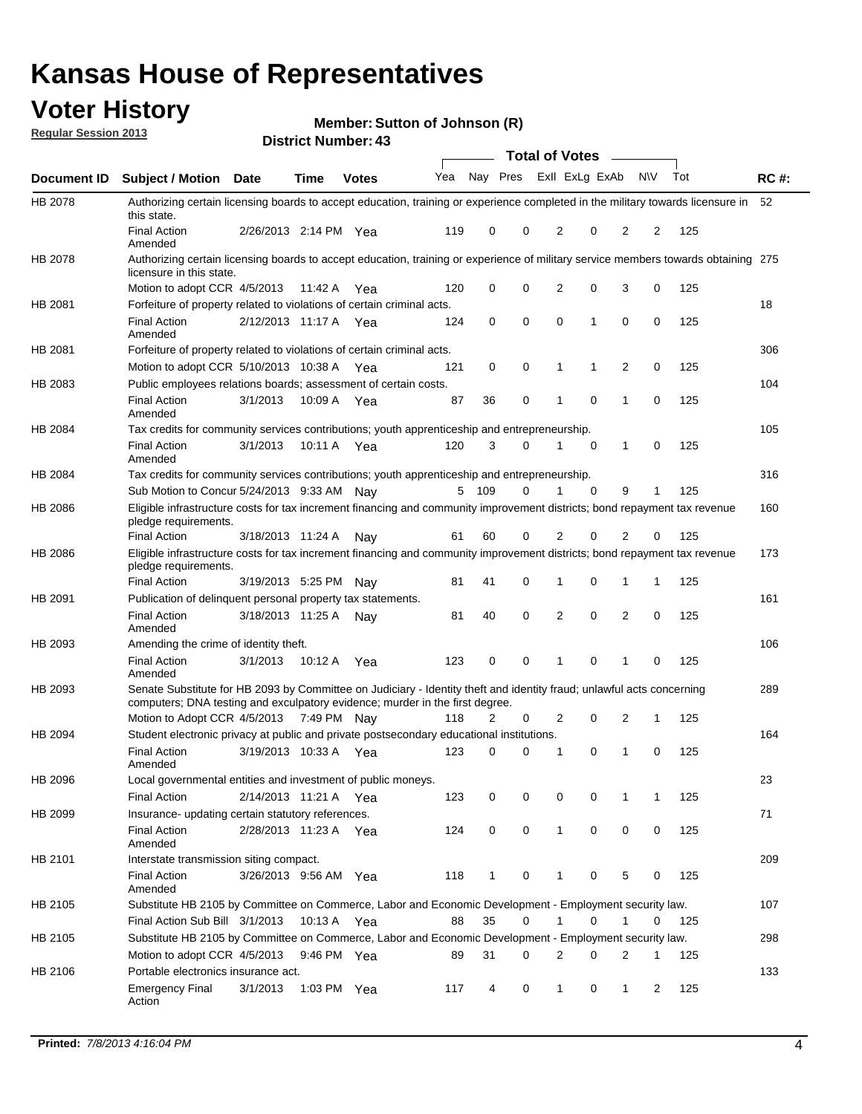## **Voter History**

**Member: Sutton of Johnson (R)** 

**Regular Session 2013**

|             |                                                                                                                                                                                                       |                       |             | טד . וסעווואזו וטווע |     |              |             | <b>Total of Votes</b> |             | $\sim$         |                |     |             |
|-------------|-------------------------------------------------------------------------------------------------------------------------------------------------------------------------------------------------------|-----------------------|-------------|----------------------|-----|--------------|-------------|-----------------------|-------------|----------------|----------------|-----|-------------|
| Document ID | <b>Subject / Motion Date</b>                                                                                                                                                                          |                       | <b>Time</b> | <b>Votes</b>         | Yea | Nay Pres     |             | Exll ExLg ExAb        |             |                | <b>NV</b>      | Tot | <b>RC#:</b> |
| HB 2078     | Authorizing certain licensing boards to accept education, training or experience completed in the military towards licensure in<br>this state.                                                        |                       |             |                      |     |              |             |                       |             |                |                |     | 52          |
|             | <b>Final Action</b><br>Amended                                                                                                                                                                        | 2/26/2013 2:14 PM Yea |             |                      | 119 | 0            | 0           | 2                     | 0           | $\overline{2}$ | 2              | 125 |             |
| HB 2078     | Authorizing certain licensing boards to accept education, training or experience of military service members towards obtaining 275<br>licensure in this state.                                        |                       |             |                      |     |              |             |                       |             |                |                |     |             |
|             | Motion to adopt CCR 4/5/2013                                                                                                                                                                          |                       | 11:42 A     | Yea                  | 120 | 0            | $\mathbf 0$ | $\overline{2}$        | 0           | 3              | 0              | 125 |             |
| HB 2081     | Forfeiture of property related to violations of certain criminal acts.                                                                                                                                |                       |             |                      |     |              |             |                       |             |                |                |     | 18          |
|             | <b>Final Action</b><br>Amended                                                                                                                                                                        | 2/12/2013 11:17 A Yea |             |                      | 124 | 0            | 0           | $\Omega$              | 1           | 0              | 0              | 125 |             |
| HB 2081     | Forfeiture of property related to violations of certain criminal acts.                                                                                                                                |                       |             |                      |     |              |             |                       |             |                |                |     | 306         |
|             | Motion to adopt CCR 5/10/2013 10:38 A                                                                                                                                                                 |                       |             | Yea                  | 121 | 0            | 0           | 1                     | 1           | 2              | 0              | 125 |             |
| HB 2083     | Public employees relations boards; assessment of certain costs.                                                                                                                                       |                       |             |                      |     |              |             |                       |             |                |                |     | 104         |
|             | <b>Final Action</b><br>Amended                                                                                                                                                                        | 3/1/2013              | 10:09 A     | Yea                  | 87  | 36           | 0           | 1                     | 0           | 1              | 0              | 125 |             |
| HB 2084     | Tax credits for community services contributions; youth apprenticeship and entrepreneurship.                                                                                                          |                       |             |                      |     |              |             |                       |             |                |                |     | 105         |
|             | <b>Final Action</b><br>Amended                                                                                                                                                                        | 3/1/2013              | 10:11 A     | Yea                  | 120 | 3            | 0           |                       | $\mathbf 0$ | $\mathbf{1}$   | 0              | 125 |             |
| HB 2084     | Tax credits for community services contributions; youth apprenticeship and entrepreneurship.                                                                                                          |                       |             |                      |     |              |             |                       |             |                |                |     | 316         |
|             | Sub Motion to Concur 5/24/2013 9:33 AM Nav                                                                                                                                                            |                       |             |                      | 5   | - 109        | 0           | 1                     | 0           | 9              | 1              | 125 |             |
| HB 2086     | Eligible infrastructure costs for tax increment financing and community improvement districts; bond repayment tax revenue<br>pledge requirements.                                                     |                       |             |                      |     |              |             |                       |             |                |                |     | 160         |
|             | <b>Final Action</b>                                                                                                                                                                                   | 3/18/2013 11:24 A     |             | Nay                  | 61  | 60           | 0           | 2                     | 0           | 2              | 0              | 125 |             |
| HB 2086     | Eligible infrastructure costs for tax increment financing and community improvement districts; bond repayment tax revenue<br>pledge requirements.                                                     |                       |             |                      |     |              |             |                       |             |                |                |     | 173         |
|             | <b>Final Action</b>                                                                                                                                                                                   | 3/19/2013 5:25 PM     |             | Nay                  | 81  | 41           | 0           | 1                     | 0           | 1              | 1              | 125 |             |
| HB 2091     | Publication of delinquent personal property tax statements.                                                                                                                                           |                       |             |                      |     |              |             |                       |             |                |                |     | 161         |
|             | <b>Final Action</b><br>Amended                                                                                                                                                                        | 3/18/2013 11:25 A     |             | Nav                  | 81  | 40           | 0           | 2                     | 0           | $\overline{2}$ | 0              | 125 |             |
| HB 2093     | Amending the crime of identity theft.                                                                                                                                                                 |                       |             |                      |     |              |             |                       |             |                |                |     | 106         |
|             | <b>Final Action</b><br>Amended                                                                                                                                                                        | 3/1/2013              | 10:12 A     | Yea                  | 123 | 0            | $\Omega$    | 1                     | 0           | 1              | 0              | 125 |             |
| HB 2093     | Senate Substitute for HB 2093 by Committee on Judiciary - Identity theft and identity fraud; unlawful acts concerning<br>computers; DNA testing and exculpatory evidence; murder in the first degree. |                       |             |                      |     |              |             |                       |             |                |                |     | 289         |
|             | Motion to Adopt CCR 4/5/2013 7:49 PM Nav                                                                                                                                                              |                       |             |                      | 118 | 2            | 0           | 2                     | 0           | 2              | 1              | 125 |             |
| HB 2094     | Student electronic privacy at public and private postsecondary educational institutions.                                                                                                              |                       |             |                      |     |              |             |                       |             |                |                |     | 164         |
|             | <b>Final Action</b><br>Amended                                                                                                                                                                        | 3/19/2013 10:33 A     |             | Yea                  | 123 | 0            | 0           | 1                     | 0           | 1              | 0              | 125 |             |
| HB 2096     | Local governmental entities and investment of public moneys.                                                                                                                                          |                       |             |                      |     |              |             |                       |             |                |                |     | 23          |
|             | <b>Final Action</b>                                                                                                                                                                                   | 2/14/2013 11:21 A     |             | Yea                  | 123 | 0            | 0           | 0                     | 0           | 1              | 1              | 125 |             |
| HB 2099     | Insurance- updating certain statutory references.                                                                                                                                                     |                       |             |                      |     |              |             |                       |             |                |                |     | 71          |
|             | <b>Final Action</b><br>Amended                                                                                                                                                                        | 2/28/2013 11:23 A     |             | Yea                  | 124 | 0            | 0           | 1                     | 0           | 0              | 0              | 125 |             |
| HB 2101     | Interstate transmission siting compact.                                                                                                                                                               |                       |             |                      |     |              |             |                       |             |                |                |     | 209         |
|             | <b>Final Action</b><br>Amended                                                                                                                                                                        | 3/26/2013 9:56 AM Yea |             |                      | 118 | $\mathbf{1}$ | 0           | 1                     | 0           | 5              | 0              | 125 |             |
| HB 2105     | Substitute HB 2105 by Committee on Commerce, Labor and Economic Development - Employment security law.                                                                                                |                       |             |                      |     |              |             |                       |             |                |                |     | 107         |
|             | Final Action Sub Bill 3/1/2013                                                                                                                                                                        |                       | 10:13 A Yea |                      | 88  | 35           | 0           |                       | 0           | 1              | 0              | 125 |             |
| HB 2105     | Substitute HB 2105 by Committee on Commerce, Labor and Economic Development - Employment security law.                                                                                                |                       |             |                      |     |              |             |                       |             |                |                |     | 298         |
|             | Motion to adopt CCR 4/5/2013                                                                                                                                                                          |                       | 9:46 PM Yea |                      | 89  | 31           | 0           | 2                     | 0           | 2              | 1              | 125 |             |
| HB 2106     | Portable electronics insurance act.                                                                                                                                                                   |                       |             |                      |     |              |             |                       |             |                |                |     | 133         |
|             | <b>Emergency Final</b><br>Action                                                                                                                                                                      | 3/1/2013              | 1:03 PM Yea |                      | 117 | 4            | 0           | $\mathbf{1}$          | 0           | $\mathbf{1}$   | $\overline{2}$ | 125 |             |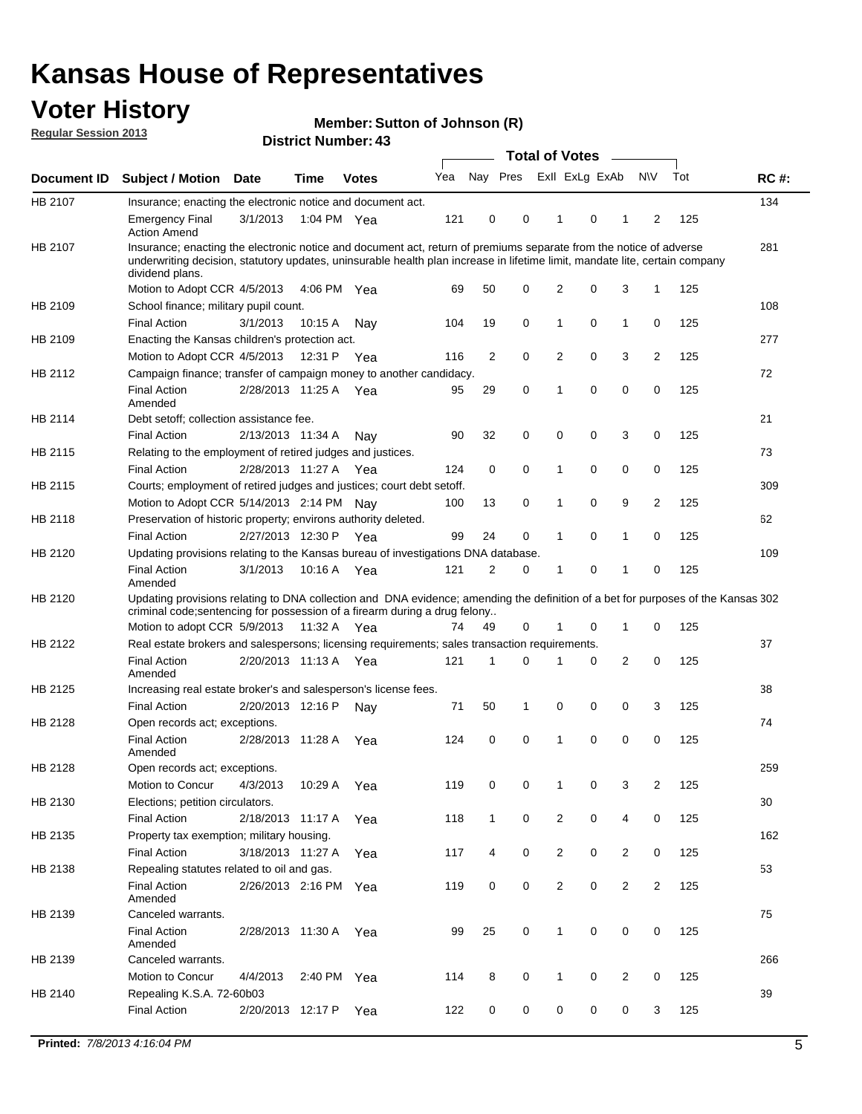## **Voter History**

**Member: Sutton of Johnson (R)** 

**Regular Session 2013**

|             |                                                                                                                                                                                                                                                                      |                       | ד. וסעוווער ועונוסו <b>ש</b> |              |     |                |             | <b>Total of Votes</b> |   | $\overline{\phantom{a}}$ |                |     |             |
|-------------|----------------------------------------------------------------------------------------------------------------------------------------------------------------------------------------------------------------------------------------------------------------------|-----------------------|------------------------------|--------------|-----|----------------|-------------|-----------------------|---|--------------------------|----------------|-----|-------------|
| Document ID | <b>Subject / Motion Date</b>                                                                                                                                                                                                                                         |                       | <b>Time</b>                  | <b>Votes</b> | Yea | Nay Pres       |             | Exll ExLg ExAb        |   |                          | <b>NV</b>      | Tot | <b>RC#:</b> |
| HB 2107     | Insurance; enacting the electronic notice and document act.                                                                                                                                                                                                          |                       |                              |              |     |                |             |                       |   |                          |                |     | 134         |
|             | <b>Emergency Final</b><br><b>Action Amend</b>                                                                                                                                                                                                                        | 3/1/2013              | 1:04 PM Yea                  |              | 121 | 0              | 0           | 1                     | 0 | 1                        | 2              | 125 |             |
| HB 2107     | Insurance; enacting the electronic notice and document act, return of premiums separate from the notice of adverse<br>underwriting decision, statutory updates, uninsurable health plan increase in lifetime limit, mandate lite, certain company<br>dividend plans. |                       |                              |              |     |                |             |                       |   |                          |                |     | 281         |
|             | Motion to Adopt CCR 4/5/2013                                                                                                                                                                                                                                         |                       | 4:06 PM Yea                  |              | 69  | 50             | 0           | 2                     | 0 | 3                        | $\mathbf{1}$   | 125 |             |
| HB 2109     | School finance; military pupil count.                                                                                                                                                                                                                                |                       |                              |              |     |                |             |                       |   |                          |                |     | 108         |
|             | <b>Final Action</b>                                                                                                                                                                                                                                                  | 3/1/2013              | 10:15A                       | Nav          | 104 | 19             | 0           | 1                     | 0 | $\mathbf{1}$             | 0              | 125 |             |
| HB 2109     | Enacting the Kansas children's protection act.                                                                                                                                                                                                                       |                       |                              |              |     |                |             |                       |   |                          |                |     | 277         |
|             | Motion to Adopt CCR 4/5/2013                                                                                                                                                                                                                                         |                       | 12:31 P                      | Yea          | 116 | $\overline{2}$ | 0           | 2                     | 0 | 3                        | $\overline{2}$ | 125 |             |
| HB 2112     | Campaign finance; transfer of campaign money to another candidacy.                                                                                                                                                                                                   |                       |                              |              |     |                |             |                       |   |                          |                |     | 72          |
|             | <b>Final Action</b><br>Amended                                                                                                                                                                                                                                       | 2/28/2013 11:25 A Yea |                              |              | 95  | 29             | 0           | 1                     | 0 | 0                        | 0              | 125 |             |
| HB 2114     | Debt setoff; collection assistance fee.                                                                                                                                                                                                                              |                       |                              |              |     |                |             |                       |   |                          |                |     | 21          |
|             | <b>Final Action</b>                                                                                                                                                                                                                                                  | 2/13/2013 11:34 A     |                              | Nav          | 90  | 32             | 0           | 0                     | 0 | 3                        | 0              | 125 |             |
| HB 2115     | Relating to the employment of retired judges and justices.                                                                                                                                                                                                           |                       |                              |              |     |                |             |                       |   |                          |                |     | 73          |
|             | <b>Final Action</b>                                                                                                                                                                                                                                                  | 2/28/2013 11:27 A     |                              | Yea          | 124 | 0              | 0           | 1                     | 0 | 0                        | 0              | 125 |             |
| HB 2115     | Courts; employment of retired judges and justices; court debt setoff.                                                                                                                                                                                                |                       |                              |              |     |                |             |                       |   |                          |                |     | 309         |
|             | Motion to Adopt CCR 5/14/2013 2:14 PM                                                                                                                                                                                                                                |                       |                              | Nav          | 100 | 13             | 0           | 1                     | 0 | 9                        | $\overline{2}$ | 125 |             |
| HB 2118     | Preservation of historic property; environs authority deleted.                                                                                                                                                                                                       |                       |                              |              |     |                |             |                       |   |                          |                |     | 62          |
|             | <b>Final Action</b>                                                                                                                                                                                                                                                  | 2/27/2013 12:30 P     |                              | Yea          | 99  | 24             | 0           | 1                     | 0 | $\mathbf{1}$             | 0              | 125 |             |
| HB 2120     | Updating provisions relating to the Kansas bureau of investigations DNA database.                                                                                                                                                                                    |                       |                              |              |     |                |             |                       |   |                          |                |     | 109         |
|             | <b>Final Action</b><br>Amended                                                                                                                                                                                                                                       | 3/1/2013              | 10:16 A                      | Yea          | 121 | 2              | 0           | 1                     | 0 | 1                        | 0              | 125 |             |
| HB 2120     | Updating provisions relating to DNA collection and DNA evidence; amending the definition of a bet for purposes of the Kansas 302<br>criminal code; sentencing for possession of a firearm during a drug felony<br>Motion to adopt CCR 5/9/2013                       |                       | 11:32 A Yea                  |              | 74  | 49             | 0           |                       | 0 | 1                        | 0              | 125 |             |
| HB 2122     | Real estate brokers and salespersons; licensing requirements; sales transaction requirements.                                                                                                                                                                        |                       |                              |              |     |                |             |                       |   |                          |                |     | 37          |
|             | <b>Final Action</b><br>Amended                                                                                                                                                                                                                                       | 2/20/2013 11:13 A Yea |                              |              | 121 | 1              | 0           |                       | 0 | 2                        | 0              | 125 |             |
| HB 2125     | Increasing real estate broker's and salesperson's license fees.                                                                                                                                                                                                      |                       |                              |              |     |                |             |                       |   |                          |                |     | 38          |
|             | <b>Final Action</b>                                                                                                                                                                                                                                                  | 2/20/2013 12:16 P     |                              | Nav          | 71  | 50             | 1           | 0                     | 0 | 0                        | 3              | 125 |             |
| HB 2128     | Open records act; exceptions.                                                                                                                                                                                                                                        |                       |                              |              |     |                |             |                       |   |                          |                |     | 74          |
|             | <b>Final Action</b><br>Amended                                                                                                                                                                                                                                       | 2/28/2013 11:28 A     |                              | Yea          | 124 | 0              | $\mathbf 0$ | 1                     | 0 | 0                        | 0              | 125 |             |
| HB 2128     | Open records act; exceptions.                                                                                                                                                                                                                                        |                       |                              |              |     |                |             |                       |   |                          |                |     | 259         |
|             | Motion to Concur                                                                                                                                                                                                                                                     | 4/3/2013              | 10:29 A                      | Yea          | 119 | 0              | 0           | 1                     | 0 | 3                        | $\overline{2}$ | 125 |             |
| HB 2130     | Elections; petition circulators.                                                                                                                                                                                                                                     |                       |                              |              |     |                |             |                       |   |                          |                |     | 30          |
|             | <b>Final Action</b>                                                                                                                                                                                                                                                  | 2/18/2013 11:17 A     |                              | Yea          | 118 | $\mathbf{1}$   | 0           | $\overline{c}$        | 0 | 4                        | 0              | 125 |             |
| HB 2135     | Property tax exemption; military housing.                                                                                                                                                                                                                            |                       |                              |              |     |                |             |                       |   |                          |                |     | 162         |
|             | <b>Final Action</b>                                                                                                                                                                                                                                                  | 3/18/2013 11:27 A     |                              | Yea          | 117 | 4              | 0           | $\overline{c}$        | 0 | $\overline{2}$           | 0              | 125 |             |
| HB 2138     | Repealing statutes related to oil and gas.                                                                                                                                                                                                                           |                       |                              |              |     |                |             |                       |   |                          |                |     | 53          |
|             | <b>Final Action</b><br>Amended                                                                                                                                                                                                                                       | 2/26/2013 2:16 PM Yea |                              |              | 119 | 0              | 0           | 2                     | 0 | $\overline{2}$           | $\overline{2}$ | 125 |             |
| HB 2139     | Canceled warrants.                                                                                                                                                                                                                                                   |                       |                              |              |     |                |             |                       |   |                          |                |     | 75          |
|             | <b>Final Action</b><br>Amended                                                                                                                                                                                                                                       | 2/28/2013 11:30 A     |                              | Yea          | 99  | 25             | 0           | 1                     | 0 | 0                        | 0              | 125 |             |
| HB 2139     | Canceled warrants.                                                                                                                                                                                                                                                   |                       |                              |              |     |                |             |                       |   |                          |                |     | 266         |
|             | Motion to Concur                                                                                                                                                                                                                                                     | 4/4/2013              | 2:40 PM                      | Yea          | 114 | 8              | 0           | 1                     | 0 | 2                        | 0              | 125 |             |
| HB 2140     | Repealing K.S.A. 72-60b03                                                                                                                                                                                                                                            |                       |                              |              |     |                |             |                       |   |                          |                |     | 39          |
|             | <b>Final Action</b>                                                                                                                                                                                                                                                  | 2/20/2013 12:17 P     |                              | Yea          | 122 | 0              | 0           | 0                     | 0 | 0                        | 3              | 125 |             |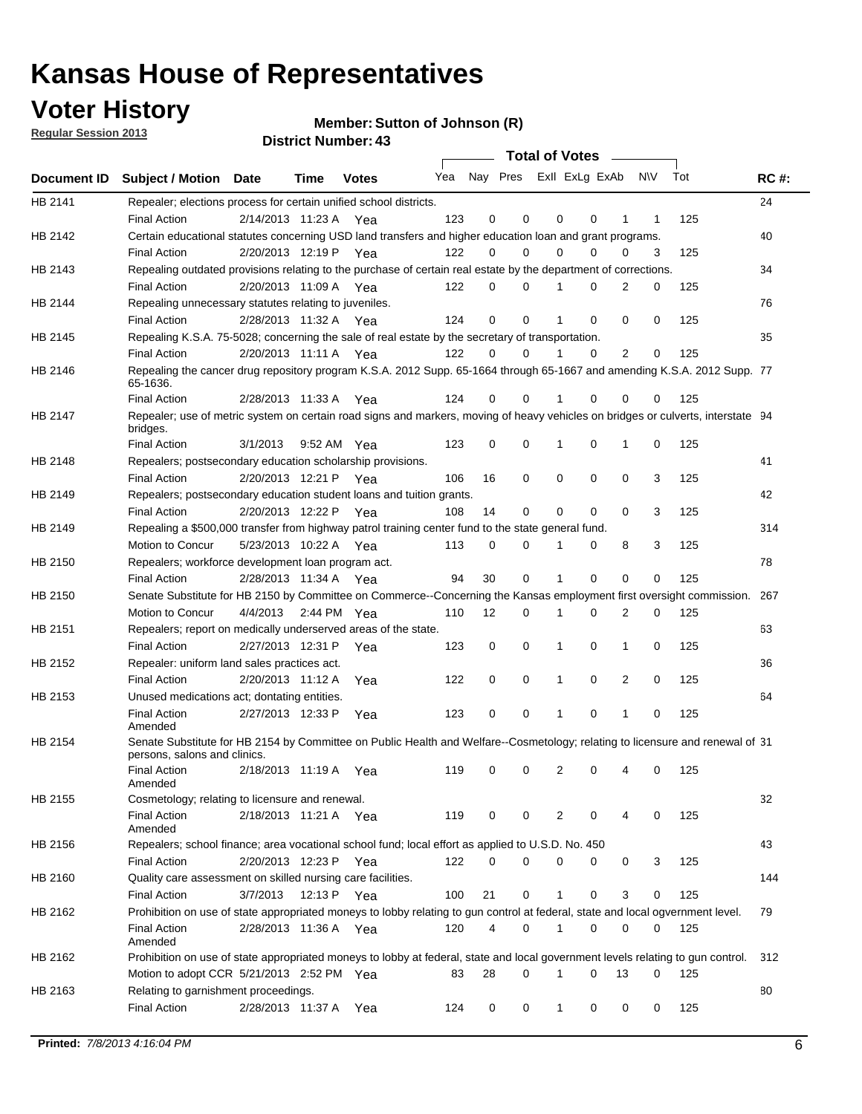**Voter History** 

**Member: Sutton of Johnson (R)** 

**Regular Session 2013**

|                |                                                                                                                                              |                       |                       |              |                             |    | <b>Total of Votes</b> |              |          | $\sim$         |     |     |             |
|----------------|----------------------------------------------------------------------------------------------------------------------------------------------|-----------------------|-----------------------|--------------|-----------------------------|----|-----------------------|--------------|----------|----------------|-----|-----|-------------|
|                | Document ID Subject / Motion Date                                                                                                            |                       | Time                  | <b>Votes</b> | Yea Nay Pres ExII ExLg ExAb |    |                       |              |          |                | N\V | Tot | <b>RC#:</b> |
| HB 2141        | Repealer; elections process for certain unified school districts.                                                                            |                       |                       |              |                             |    |                       |              |          |                |     |     | 24          |
|                | <b>Final Action</b>                                                                                                                          | 2/14/2013 11:23 A     |                       | Yea          | 123                         | 0  | 0                     | 0            | 0        | 1              | 1   | 125 |             |
| HB 2142        | Certain educational statutes concerning USD land transfers and higher education loan and grant programs.                                     |                       |                       |              |                             |    |                       |              |          |                |     |     | 40          |
|                | <b>Final Action</b>                                                                                                                          | 2/20/2013 12:19 P     |                       | Yea          | 122                         | 0  | 0                     | 0            | 0        | 0              | 3   | 125 |             |
| HB 2143        | Repealing outdated provisions relating to the purchase of certain real estate by the department of corrections.                              |                       |                       |              |                             |    |                       |              |          |                |     |     | 34          |
|                | <b>Final Action</b>                                                                                                                          |                       | 2/20/2013 11:09 A Yea |              | 122                         | 0  | 0                     |              | 0        | $\overline{2}$ | 0   | 125 |             |
| HB 2144        | Repealing unnecessary statutes relating to juveniles.                                                                                        |                       |                       |              |                             |    |                       |              |          |                |     |     | 76          |
|                | <b>Final Action</b>                                                                                                                          |                       | 2/28/2013 11:32 A Yea |              | 124                         | 0  | 0                     |              | 0        | 0              | 0   | 125 |             |
| <b>HB 2145</b> | Repealing K.S.A. 75-5028; concerning the sale of real estate by the secretary of transportation.                                             |                       |                       |              |                             |    |                       |              |          |                |     |     | 35          |
|                | <b>Final Action</b>                                                                                                                          |                       | 2/20/2013 11:11 A Yea |              | 122                         | 0  | 0                     |              | 0        | 2              | 0   | 125 |             |
| HB 2146        | Repealing the cancer drug repository program K.S.A. 2012 Supp. 65-1664 through 65-1667 and amending K.S.A. 2012 Supp. 77<br>65-1636.         |                       |                       |              |                             |    |                       |              |          |                |     |     |             |
|                | <b>Final Action</b>                                                                                                                          |                       | 2/28/2013 11:33 A     | Yea          | 124                         | 0  | 0                     |              | 0        | 0              | 0   | 125 |             |
| HB 2147        | Repealer; use of metric system on certain road signs and markers, moving of heavy vehicles on bridges or culverts, interstate 94<br>bridges. |                       |                       |              |                             |    |                       |              |          |                |     |     |             |
|                | <b>Final Action</b>                                                                                                                          | 3/1/2013              |                       | 9:52 AM Yea  | 123                         | 0  | 0                     | 1            | 0        | 1              | 0   | 125 |             |
| HB 2148        | Repealers; postsecondary education scholarship provisions.                                                                                   |                       |                       |              |                             |    |                       |              |          |                |     |     | 41          |
|                | <b>Final Action</b>                                                                                                                          | 2/20/2013 12:21 P Yea |                       |              | 106                         | 16 | 0                     | 0            | 0        | 0              | 3   | 125 |             |
| HB 2149        | Repealers; postsecondary education student loans and tuition grants.                                                                         |                       |                       |              |                             |    |                       |              |          |                |     |     | 42          |
|                | <b>Final Action</b>                                                                                                                          |                       | 2/20/2013 12:22 P     | Yea          | 108                         | 14 | 0                     | 0            | 0        | $\Omega$       | 3   | 125 |             |
| HB 2149        | Repealing a \$500,000 transfer from highway patrol training center fund to the state general fund.                                           |                       |                       |              |                             |    |                       |              |          |                |     |     | 314         |
|                | Motion to Concur                                                                                                                             |                       | 5/23/2013 10:22 A Yea |              | 113                         | 0  | 0                     | 1            | 0        | 8              | 3   | 125 |             |
| HB 2150        | Repealers; workforce development loan program act.                                                                                           |                       |                       |              |                             |    |                       |              |          |                |     |     | 78          |
|                | <b>Final Action</b>                                                                                                                          |                       | 2/28/2013 11:34 A Yea |              | 94                          | 30 | 0                     | 1            | 0        | $\mathbf 0$    | 0   | 125 |             |
| HB 2150        | Senate Substitute for HB 2150 by Committee on Commerce--Concerning the Kansas employment first oversight commission.                         |                       |                       |              |                             |    |                       |              |          |                |     |     | 267         |
|                | Motion to Concur                                                                                                                             | 4/4/2013              |                       | 2:44 PM Yea  | 110                         | 12 | 0                     | 1            | 0        | 2              | 0   | 125 |             |
| HB 2151        | Repealers; report on medically underserved areas of the state.                                                                               |                       |                       |              |                             |    |                       |              |          |                |     |     | 63          |
|                | <b>Final Action</b>                                                                                                                          |                       | 2/27/2013 12:31 P     | Yea          | 123                         | 0  | 0                     | 1            | 0        | 1              | 0   | 125 |             |
| HB 2152        | Repealer: uniform land sales practices act.                                                                                                  |                       |                       |              |                             |    |                       |              |          |                |     |     | 36          |
|                | <b>Final Action</b>                                                                                                                          |                       | 2/20/2013 11:12 A     | Yea          | 122                         | 0  | 0                     | 1            | 0        | 2              | 0   | 125 |             |
| HB 2153        | Unused medications act; dontating entities.                                                                                                  |                       |                       |              |                             |    |                       |              |          |                |     |     | 64          |
|                | <b>Final Action</b><br>Amended                                                                                                               | 2/27/2013 12:33 P     |                       | Yea          | 123                         | 0  | 0                     |              | 0        | 1              | 0   | 125 |             |
| HB 2154        | Senate Substitute for HB 2154 by Committee on Public Health and Welfare--Cosmetology; relating to licensure and renewal of 31                |                       |                       |              |                             |    |                       |              |          |                |     |     |             |
|                | persons, salons and clinics.                                                                                                                 |                       |                       |              |                             |    |                       |              |          |                |     |     |             |
|                | <b>Final Action</b><br>Amended                                                                                                               |                       | 2/18/2013 11:19 A     | Yea          | 119                         | 0  | 0                     | 2            | 0        |                | 0   | 125 |             |
| HB 2155        | Cosmetology; relating to licensure and renewal.                                                                                              |                       |                       |              |                             |    |                       |              |          |                |     |     | 32          |
|                | <b>Final Action</b><br>Amended                                                                                                               |                       | 2/18/2013 11:21 A Yea |              | 119                         | 0  | 0                     | 2            | 0        | 4              | 0   | 125 |             |
| HB 2156        | Repealers; school finance; area vocational school fund; local effort as applied to U.S.D. No. 450                                            |                       |                       |              |                             |    |                       |              |          |                |     |     | 43          |
|                | <b>Final Action</b>                                                                                                                          | 2/20/2013 12:23 P     |                       | Yea          | 122                         | 0  | 0                     | 0            | 0        | 0              | 3   | 125 |             |
| HB 2160        | Quality care assessment on skilled nursing care facilities.                                                                                  |                       |                       |              |                             |    |                       |              |          |                |     |     | 144         |
|                | <b>Final Action</b>                                                                                                                          | 3/7/2013              | 12:13 P               |              | 100                         | 21 | 0                     | $\mathbf{1}$ | 0        | 3              | 0   | 125 |             |
|                |                                                                                                                                              |                       |                       | Yea          |                             |    |                       |              |          |                |     |     |             |
| HB 2162        | Prohibition on use of state appropriated moneys to lobby relating to gun control at federal, state and local ogvernment level.               |                       | 2/28/2013 11:36 A Yea |              | 120                         | 4  | 0                     | 1            | 0        | 0              |     |     | 79          |
|                | <b>Final Action</b><br>Amended                                                                                                               |                       |                       |              |                             |    |                       |              |          |                | 0   | 125 |             |
| HB 2162        | Prohibition on use of state appropriated moneys to lobby at federal, state and local government levels relating to gun control.              |                       |                       |              |                             |    |                       |              |          |                |     |     | 312         |
|                | Motion to adopt CCR 5/21/2013 2:52 PM Yea                                                                                                    |                       |                       |              | 83                          | 28 | 0                     | 1            | $\Omega$ | 13             | 0   | 125 |             |
| HB 2163        | Relating to garnishment proceedings.                                                                                                         |                       |                       |              |                             |    |                       |              |          |                |     |     | 80          |
|                | <b>Final Action</b>                                                                                                                          |                       | 2/28/2013 11:37 A Yea |              | 124                         | 0  | 0                     | $\mathbf{1}$ | 0        | 0              | 0   | 125 |             |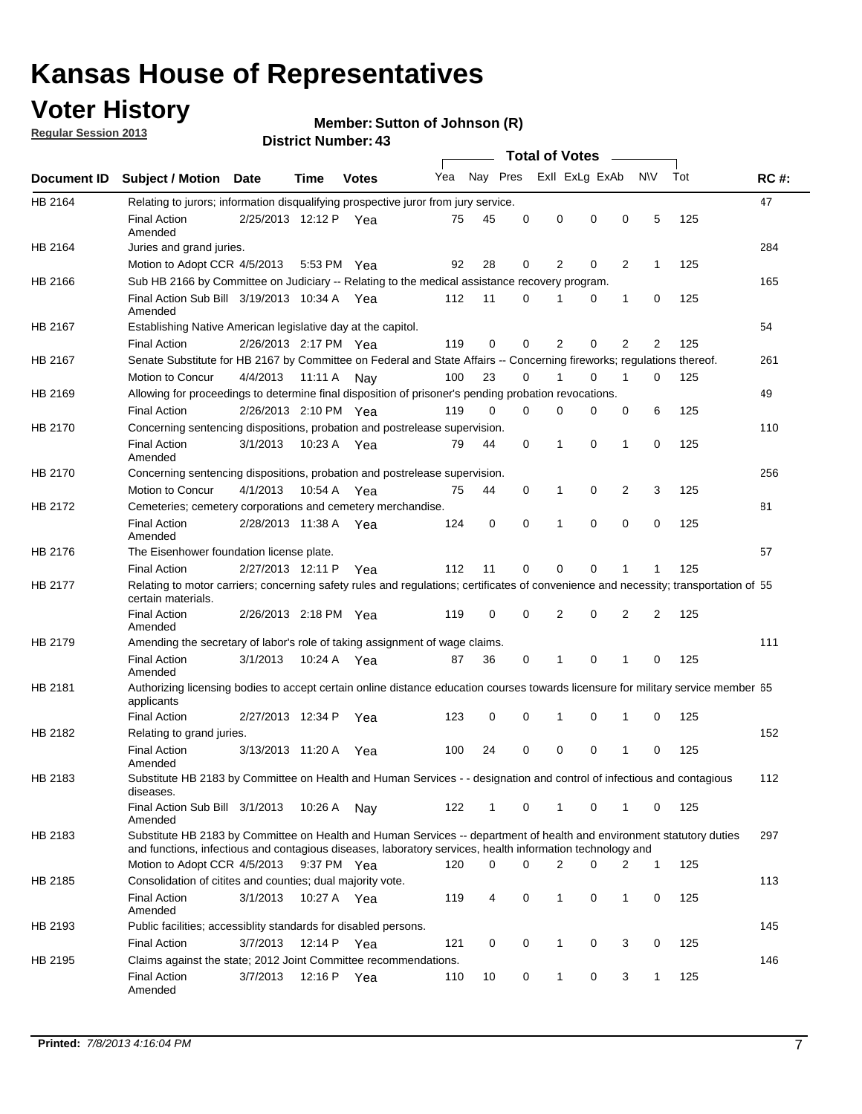## **Voter History**

**Member: Sutton of Johnson (R)** 

**Regular Session 2013**

|             |                                                                                                                                                                                                                                    |                       |             | ד . וסעוווער וענושטו <i>שר</i> |     |          |          | <b>Total of Votes</b> |          | $\sim$         |                |     |             |
|-------------|------------------------------------------------------------------------------------------------------------------------------------------------------------------------------------------------------------------------------------|-----------------------|-------------|--------------------------------|-----|----------|----------|-----------------------|----------|----------------|----------------|-----|-------------|
| Document ID | <b>Subject / Motion Date</b>                                                                                                                                                                                                       |                       | Time        | <b>Votes</b>                   | Yea | Nay Pres |          | Exll ExLg ExAb        |          |                | <b>NV</b>      | Tot | <b>RC#:</b> |
| HB 2164     | Relating to jurors; information disqualifying prospective juror from jury service.                                                                                                                                                 |                       |             |                                |     |          |          |                       |          |                |                |     | 47          |
|             | <b>Final Action</b><br>Amended                                                                                                                                                                                                     | 2/25/2013 12:12 P Yea |             |                                | 75  | 45       | 0        | 0                     | 0        | 0              | 5              | 125 |             |
| HB 2164     | Juries and grand juries.                                                                                                                                                                                                           |                       |             |                                |     |          |          |                       |          |                |                |     | 284         |
|             | Motion to Adopt CCR 4/5/2013                                                                                                                                                                                                       |                       | 5:53 PM Yea |                                | 92  | 28       | 0        | 2                     | 0        | $\overline{2}$ | 1              | 125 |             |
| HB 2166     | Sub HB 2166 by Committee on Judiciary -- Relating to the medical assistance recovery program.                                                                                                                                      |                       |             |                                |     |          |          |                       |          |                |                |     | 165         |
|             | Final Action Sub Bill 3/19/2013 10:34 A Yea<br>Amended                                                                                                                                                                             |                       |             |                                | 112 | 11       | $\Omega$ |                       | 0        | 1              | 0              | 125 |             |
| HB 2167     | Establishing Native American legislative day at the capitol.                                                                                                                                                                       |                       |             |                                |     |          |          |                       |          |                |                |     | 54          |
|             | <b>Final Action</b>                                                                                                                                                                                                                | 2/26/2013 2:17 PM Yea |             |                                | 119 | 0        | $\Omega$ | 2                     | 0        | $\overline{2}$ | 2              | 125 |             |
| HB 2167     | Senate Substitute for HB 2167 by Committee on Federal and State Affairs -- Concerning fireworks; regulations thereof.                                                                                                              |                       |             |                                |     |          |          |                       |          |                |                |     | 261         |
|             | Motion to Concur                                                                                                                                                                                                                   | 4/4/2013              | 11:11 A     | Nav                            | 100 | 23       | 0        | 1                     | 0        | 1              | 0              | 125 |             |
| HB 2169     | Allowing for proceedings to determine final disposition of prisoner's pending probation revocations.                                                                                                                               |                       |             |                                |     |          |          |                       |          |                |                |     | 49          |
|             | <b>Final Action</b>                                                                                                                                                                                                                | 2/26/2013 2:10 PM Yea |             |                                | 119 | 0        | 0        | 0                     | 0        | 0              | 6              | 125 |             |
| HB 2170     | Concerning sentencing dispositions, probation and postrelease supervision.                                                                                                                                                         |                       |             |                                |     |          |          |                       |          |                |                |     | 110         |
|             | <b>Final Action</b><br>Amended                                                                                                                                                                                                     | 3/1/2013              | 10:23 A Yea |                                | 79  | 44       | 0        | 1                     | 0        | 1              | 0              | 125 |             |
| HB 2170     | Concerning sentencing dispositions, probation and postrelease supervision.                                                                                                                                                         |                       |             |                                |     |          |          |                       |          |                |                |     | 256         |
|             | Motion to Concur                                                                                                                                                                                                                   | 4/1/2013              | 10:54 A Yea |                                | 75  | 44       | 0        | 1                     | 0        | $\overline{2}$ | 3              | 125 |             |
| HB 2172     | Cemeteries; cemetery corporations and cemetery merchandise.                                                                                                                                                                        |                       |             |                                |     |          |          |                       |          |                |                |     | 81          |
|             | <b>Final Action</b><br>Amended                                                                                                                                                                                                     | 2/28/2013 11:38 A Yea |             |                                | 124 | 0        | 0        | 1                     | 0        | $\Omega$       | 0              | 125 |             |
| HB 2176     | The Eisenhower foundation license plate.                                                                                                                                                                                           |                       |             |                                |     |          |          |                       |          |                |                |     | 57          |
|             | <b>Final Action</b>                                                                                                                                                                                                                | 2/27/2013 12:11 P     |             | Yea                            | 112 | 11       | $\Omega$ | 0                     | 0        | 1              | 1              | 125 |             |
| HB 2177     | Relating to motor carriers; concerning safety rules and regulations; certificates of convenience and necessity; transportation of 55<br>certain materials.                                                                         |                       |             |                                |     |          |          |                       |          |                |                |     |             |
|             | <b>Final Action</b><br>Amended                                                                                                                                                                                                     | 2/26/2013 2:18 PM Yea |             |                                | 119 | 0        | $\Omega$ | 2                     | 0        | $\overline{2}$ | $\overline{2}$ | 125 |             |
| HB 2179     | Amending the secretary of labor's role of taking assignment of wage claims.                                                                                                                                                        |                       |             |                                |     |          |          |                       |          |                |                |     | 111         |
|             | <b>Final Action</b><br>Amended                                                                                                                                                                                                     | 3/1/2013              | 10:24 A Yea |                                | 87  | 36       | 0        | 1                     | $\Omega$ | 1              | 0              | 125 |             |
| HB 2181     | Authorizing licensing bodies to accept certain online distance education courses towards licensure for military service member 55<br>applicants                                                                                    |                       |             |                                |     |          |          |                       |          |                |                |     |             |
|             | <b>Final Action</b>                                                                                                                                                                                                                | 2/27/2013 12:34 P     |             | Yea                            | 123 | 0        | 0        |                       | 0        | 1              | 0              | 125 |             |
| HB 2182     | Relating to grand juries.                                                                                                                                                                                                          |                       |             |                                |     |          |          |                       |          |                |                |     | 152         |
|             | <b>Final Action</b><br>Amended                                                                                                                                                                                                     | 3/13/2013 11:20 A     |             | Yea                            | 100 | 24       | 0        | 0                     | 0        | 1              | 0              | 125 |             |
| HB 2183     | Substitute HB 2183 by Committee on Health and Human Services - - designation and control of infectious and contagious<br>diseases.                                                                                                 |                       |             |                                |     |          |          |                       |          |                |                |     | 112         |
|             | Final Action Sub Bill 3/1/2013<br>Amended                                                                                                                                                                                          |                       | 10:26 A     | Nay                            | 122 | 1        | 0        | 1                     | 0        | 1              | 0              | 125 |             |
| HB 2183     | Substitute HB 2183 by Committee on Health and Human Services -- department of health and environment statutory duties<br>and functions, infectious and contagious diseases, laboratory services, health information technology and |                       |             |                                |     |          |          |                       |          |                |                |     | 297         |
|             | Motion to Adopt CCR 4/5/2013                                                                                                                                                                                                       |                       | 9:37 PM Yea |                                | 120 | 0        | 0        | 2                     | 0        | 2              | 1              | 125 |             |
| HB 2185     | Consolidation of citites and counties; dual majority vote.                                                                                                                                                                         |                       |             |                                |     |          |          |                       |          |                |                |     | 113         |
|             | <b>Final Action</b><br>Amended                                                                                                                                                                                                     | 3/1/2013              | 10:27 A Yea |                                | 119 | 4        | 0        | 1                     | 0        | $\mathbf{1}$   | 0              | 125 |             |
| HB 2193     | Public facilities; accessiblity standards for disabled persons.                                                                                                                                                                    |                       |             |                                |     |          |          |                       |          |                |                |     | 145         |
|             | <b>Final Action</b>                                                                                                                                                                                                                | 3/7/2013              | 12:14 P     | Yea                            | 121 | 0        | 0        | 1                     | 0        | 3              | 0              | 125 |             |
| HB 2195     | Claims against the state; 2012 Joint Committee recommendations.                                                                                                                                                                    |                       |             |                                |     |          |          |                       |          |                |                |     | 146         |
|             | <b>Final Action</b><br>Amended                                                                                                                                                                                                     | 3/7/2013              | 12:16 P Yea |                                | 110 | 10       | 0        | 1                     | 0        | 3              | 1              | 125 |             |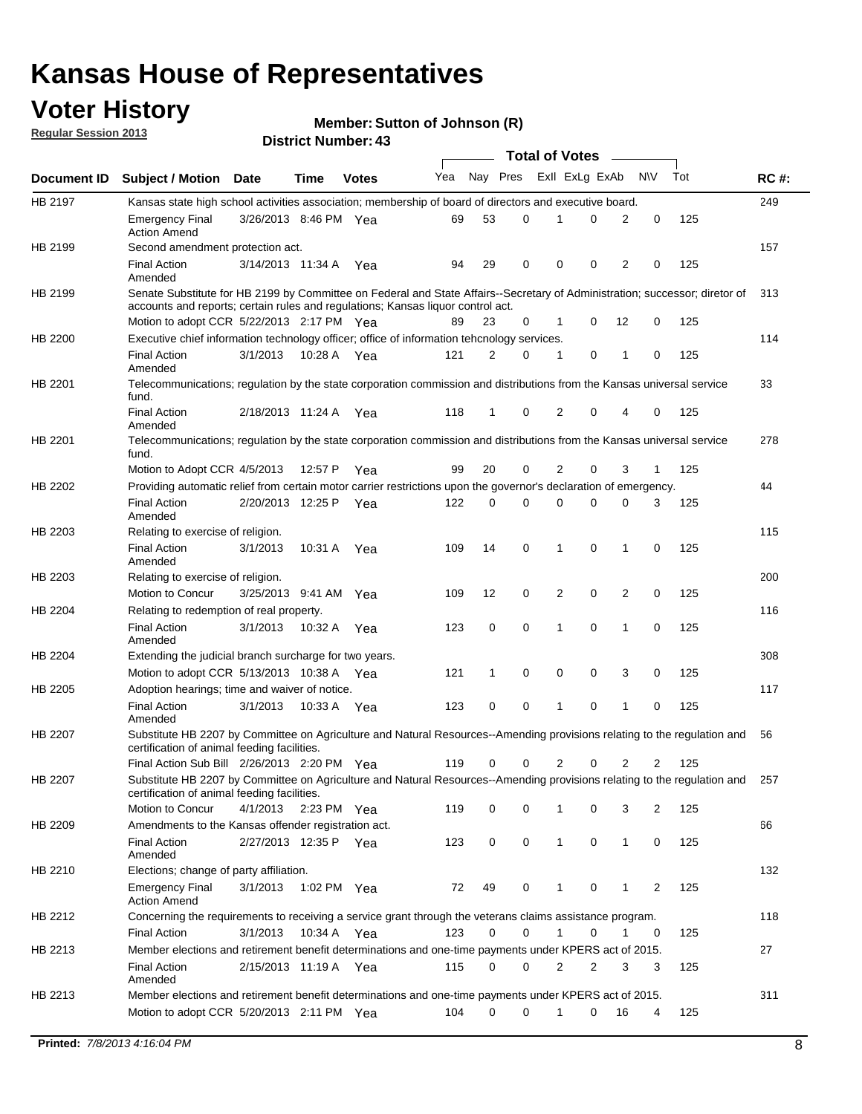## **Voter History**

**Member: Sutton of Johnson (R)** 

**Regular Session 2013**

|             |                                                                                                                                                                             |                       |             |              |     |          |   | <b>Total of Votes</b> |   |              |            |     |             |
|-------------|-----------------------------------------------------------------------------------------------------------------------------------------------------------------------------|-----------------------|-------------|--------------|-----|----------|---|-----------------------|---|--------------|------------|-----|-------------|
| Document ID | <b>Subject / Motion Date</b>                                                                                                                                                |                       | Time        | <b>Votes</b> | Yea | Nay Pres |   | Exll ExLg ExAb        |   |              | <b>N/A</b> | Tot | <b>RC#:</b> |
| HB 2197     | Kansas state high school activities association; membership of board of directors and executive board.                                                                      |                       |             |              |     |          |   |                       |   |              |            |     | 249         |
|             | <b>Emergency Final</b><br><b>Action Amend</b>                                                                                                                               | 3/26/2013 8:46 PM Yea |             |              | 69  | 53       | 0 |                       | 0 | 2            | 0          | 125 |             |
| HB 2199     | Second amendment protection act.                                                                                                                                            |                       |             |              |     |          |   |                       |   |              |            |     | 157         |
|             | <b>Final Action</b><br>Amended                                                                                                                                              | 3/14/2013 11:34 A     |             | Yea          | 94  | 29       | 0 | 0                     | 0 | 2            | 0          | 125 |             |
| HB 2199     | Senate Substitute for HB 2199 by Committee on Federal and State Affairs--Secretary of Administration; successor; diretor of                                                 |                       |             |              |     |          |   |                       |   |              |            |     | 313         |
|             | accounts and reports; certain rules and regulations; Kansas liquor control act.                                                                                             |                       |             |              |     |          |   |                       |   |              |            |     |             |
|             | Motion to adopt CCR 5/22/2013 2:17 PM Yea                                                                                                                                   |                       |             |              | 89  | 23       | 0 | 1                     | 0 | 12           | 0          | 125 |             |
| HB 2200     | Executive chief information technology officer; office of information tehcnology services.                                                                                  |                       |             |              |     |          |   |                       |   |              |            |     | 114         |
|             | <b>Final Action</b><br>Amended                                                                                                                                              | 3/1/2013              | 10:28 A     | Yea          | 121 | 2        | 0 | 1                     | 0 | 1            | 0          | 125 |             |
| HB 2201     | Telecommunications; regulation by the state corporation commission and distributions from the Kansas universal service<br>fund.                                             |                       |             |              |     |          |   |                       |   |              |            |     | 33          |
|             | <b>Final Action</b><br>Amended                                                                                                                                              | 2/18/2013 11:24 A     |             | Yea          | 118 | 1        | 0 | 2                     | 0 | 4            | 0          | 125 |             |
| HB 2201     | Telecommunications; regulation by the state corporation commission and distributions from the Kansas universal service<br>fund.                                             |                       |             |              |     |          |   |                       |   |              |            |     | 278         |
|             | Motion to Adopt CCR 4/5/2013                                                                                                                                                |                       | 12:57 P     | Yea          | 99  | 20       | 0 | 2                     | 0 | 3            | 1          | 125 |             |
| HB 2202     | Providing automatic relief from certain motor carrier restrictions upon the governor's declaration of emergency.                                                            |                       |             |              |     |          |   |                       |   |              |            |     | 44          |
|             | <b>Final Action</b><br>Amended                                                                                                                                              | 2/20/2013 12:25 P     |             | Yea          | 122 | 0        | 0 | 0                     | 0 | 0            | 3          | 125 |             |
| HB 2203     | Relating to exercise of religion.                                                                                                                                           |                       |             |              |     |          |   |                       |   |              |            |     | 115         |
|             | <b>Final Action</b><br>Amended                                                                                                                                              | 3/1/2013              | 10:31 A     | Yea          | 109 | 14       | 0 | 1                     | 0 | 1            | 0          | 125 |             |
| HB 2203     | Relating to exercise of religion.                                                                                                                                           |                       |             |              |     |          |   |                       |   |              |            |     | 200         |
|             | Motion to Concur                                                                                                                                                            | 3/25/2013 9:41 AM     |             | Yea          | 109 | 12       | 0 | 2                     | 0 | 2            | 0          | 125 |             |
| HB 2204     | Relating to redemption of real property.                                                                                                                                    |                       |             |              |     |          |   |                       |   |              |            |     | 116         |
|             | <b>Final Action</b>                                                                                                                                                         | 3/1/2013              | 10:32 A     | Yea          | 123 | 0        | 0 | 1                     | 0 | 1            | 0          | 125 |             |
| HB 2204     | Amended<br>Extending the judicial branch surcharge for two years.                                                                                                           |                       |             |              |     |          |   |                       |   |              |            |     | 308         |
|             | Motion to adopt CCR 5/13/2013 10:38 A                                                                                                                                       |                       |             | Yea          | 121 | 1        | 0 | 0                     | 0 | 3            | 0          | 125 |             |
| HB 2205     | Adoption hearings; time and waiver of notice.                                                                                                                               |                       |             |              |     |          |   |                       |   |              |            |     | 117         |
|             | <b>Final Action</b>                                                                                                                                                         | 3/1/2013              | 10:33 A Yea |              | 123 | 0        | 0 | 1                     | 0 | 1            | 0          | 125 |             |
|             | Amended                                                                                                                                                                     |                       |             |              |     |          |   |                       |   |              |            |     |             |
| HB 2207     | Substitute HB 2207 by Committee on Agriculture and Natural Resources--Amending provisions relating to the regulation and<br>certification of animal feeding facilities.     |                       |             |              |     |          |   |                       |   |              |            |     | 56          |
|             | Final Action Sub Bill 2/26/2013 2:20 PM Yea                                                                                                                                 |                       |             |              | 119 | 0        | 0 | 2                     | 0 | 2            | 2          | 125 |             |
| HB 2207     | Substitute HB 2207 by Committee on Agriculture and Natural Resources--Amending provisions relating to the regulation and 257<br>certification of animal feeding facilities. |                       |             |              |     |          |   |                       |   |              |            |     |             |
|             | Motion to Concur                                                                                                                                                            | 4/1/2013 2:23 PM Yea  |             |              | 119 | 0        | 0 | 1                     | 0 | 3            | 2          | 125 |             |
| HB 2209     | Amendments to the Kansas offender registration act.<br>Final Action                                                                                                         | 2/27/2013 12:35 P Yea |             |              | 123 | 0        | 0 | $\mathbf{1}$          | 0 | $\mathbf{1}$ | 0          | 125 | 66          |
|             | Amended                                                                                                                                                                     |                       |             |              |     |          |   |                       |   |              |            |     |             |
| HB 2210     | Elections; change of party affiliation.                                                                                                                                     |                       |             |              |     |          |   |                       |   |              |            |     | 132         |
|             | <b>Emergency Final</b><br><b>Action Amend</b>                                                                                                                               | 3/1/2013              |             | 1:02 PM Yea  | 72  | 49       | 0 |                       | 0 | 1            | 2          | 125 |             |
| HB 2212     | Concerning the requirements to receiving a service grant through the veterans claims assistance program.                                                                    |                       |             |              |     |          |   |                       |   |              |            |     | 118         |
|             | Final Action                                                                                                                                                                | 3/1/2013              |             | 10:34 A Yea  | 123 | 0        | 0 | $\mathbf{1}$          | 0 | 1            | 0          | 125 |             |
| HB 2213     | Member elections and retirement benefit determinations and one-time payments under KPERS act of 2015.                                                                       |                       |             |              |     |          |   |                       |   |              |            |     | 27          |
|             | <b>Final Action</b><br>Amended                                                                                                                                              | 2/15/2013 11:19 A Yea |             |              | 115 | 0        | 0 | 2                     | 2 | 3            | 3          | 125 |             |
| HB 2213     | Member elections and retirement benefit determinations and one-time payments under KPERS act of 2015.                                                                       |                       |             |              |     |          |   |                       |   |              |            |     | 311         |
|             | Motion to adopt CCR 5/20/2013 2:11 PM Yea                                                                                                                                   |                       |             |              | 104 | $\Omega$ | 0 | 1                     | 0 | 16           | 4          | 125 |             |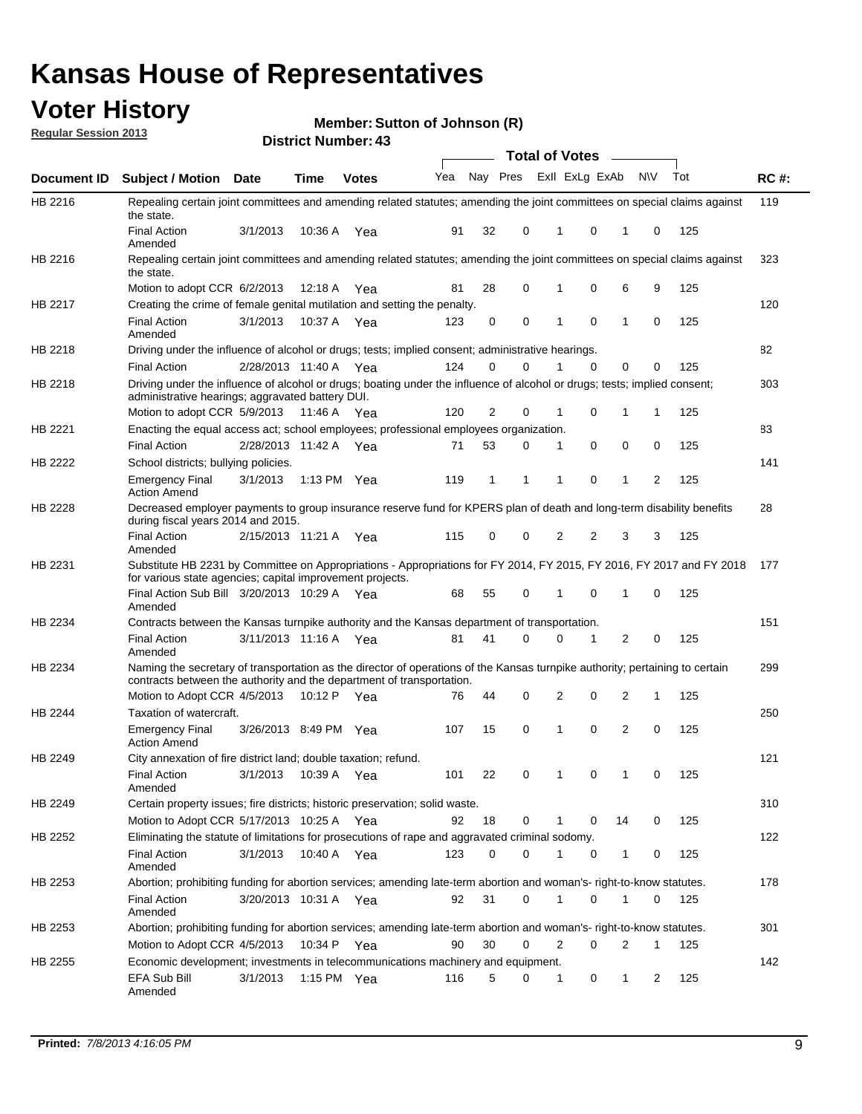## **Voter History**

**Member: Sutton of Johnson (R)** 

**Regular Session 2013**

|                    |                                                                                                                                                                                                                       |                       |         | טד . וסעווואזו וטווע |              |    |   | <b>Total of Votes</b> |          | $\sim$         |           |     |     |
|--------------------|-----------------------------------------------------------------------------------------------------------------------------------------------------------------------------------------------------------------------|-----------------------|---------|----------------------|--------------|----|---|-----------------------|----------|----------------|-----------|-----|-----|
| <b>Document ID</b> | <b>Subject / Motion Date</b>                                                                                                                                                                                          |                       | Time    | <b>Votes</b>         | Yea Nay Pres |    |   | Exll ExLg ExAb        |          |                | <b>NV</b> | Tot | RC# |
| HB 2216            | Repealing certain joint committees and amending related statutes; amending the joint committees on special claims against<br>the state.                                                                               |                       |         |                      |              |    |   |                       |          |                |           |     | 119 |
|                    | <b>Final Action</b><br>Amended                                                                                                                                                                                        | 3/1/2013              | 10:36 A | Yea                  | 91           | 32 | 0 | 1                     | 0        | 1              | 0         | 125 |     |
| HB 2216            | Repealing certain joint committees and amending related statutes; amending the joint committees on special claims against<br>the state.                                                                               |                       |         |                      |              |    |   |                       |          |                |           |     | 323 |
|                    | Motion to adopt CCR 6/2/2013                                                                                                                                                                                          |                       | 12:18 A | Yea                  | 81           | 28 | 0 | 1                     | 0        | 6              | 9         | 125 |     |
| HB 2217            | Creating the crime of female genital mutilation and setting the penalty.                                                                                                                                              |                       |         |                      |              |    |   |                       |          |                |           |     | 120 |
|                    | <b>Final Action</b><br>Amended                                                                                                                                                                                        | 3/1/2013              |         | 10:37 A Yea          | 123          | 0  | 0 | 1                     | 0        | $\mathbf{1}$   | 0         | 125 |     |
| HB 2218            | Driving under the influence of alcohol or drugs; tests; implied consent; administrative hearings.                                                                                                                     |                       |         |                      |              |    |   |                       |          |                |           |     | 82  |
|                    | <b>Final Action</b>                                                                                                                                                                                                   | 2/28/2013 11:40 A Yea |         |                      | 124          | 0  | 0 |                       | $\Omega$ | 0              | 0         | 125 |     |
| HB 2218            | Driving under the influence of alcohol or drugs; boating under the influence of alcohol or drugs; tests; implied consent;<br>administrative hearings; aggravated battery DUI.<br>Motion to adopt CCR 5/9/2013 11:46 A |                       |         | Yea                  | 120          | 2  | 0 | 1                     | 0        | 1              | 1         | 125 | 303 |
| HB 2221            | Enacting the equal access act; school employees; professional employees organization.                                                                                                                                 |                       |         |                      |              |    |   |                       |          |                |           |     | 83  |
|                    | <b>Final Action</b>                                                                                                                                                                                                   | 2/28/2013 11:42 A     |         |                      | 71           | 53 | 0 | 1                     | 0        | 0              | 0         | 125 |     |
| HB 2222            |                                                                                                                                                                                                                       |                       |         | Yea                  |              |    |   |                       |          |                |           |     | 141 |
|                    | School districts; bullying policies.<br><b>Emergency Final</b><br><b>Action Amend</b>                                                                                                                                 | 3/1/2013              |         | 1:13 PM $Yea$        | 119          | 1  | 1 | 1                     | 0        | 1              | 2         | 125 |     |
| <b>HB 2228</b>     | Decreased employer payments to group insurance reserve fund for KPERS plan of death and long-term disability benefits<br>during fiscal years 2014 and 2015.                                                           |                       |         |                      |              |    |   |                       |          |                |           |     | 28  |
|                    | <b>Final Action</b><br>Amended                                                                                                                                                                                        | 2/15/2013 11:21 A Yea |         |                      | 115          | 0  | 0 | 2                     | 2        | 3              | 3         | 125 |     |
| HB 2231            | Substitute HB 2231 by Committee on Appropriations - Appropriations for FY 2014, FY 2015, FY 2016, FY 2017 and FY 2018<br>for various state agencies; capital improvement projects.                                    |                       |         |                      |              |    |   |                       |          |                |           |     | 177 |
|                    | Final Action Sub Bill 3/20/2013 10:29 A Yea<br>Amended                                                                                                                                                                |                       |         |                      | 68           | 55 | 0 |                       | 0        | 1              | 0         | 125 |     |
| HB 2234            | Contracts between the Kansas turnpike authority and the Kansas department of transportation.                                                                                                                          |                       |         |                      |              |    |   |                       |          |                |           |     | 151 |
|                    | <b>Final Action</b><br>Amended                                                                                                                                                                                        | 3/11/2013 11:16 A Yea |         |                      | 81           | 41 | 0 | 0                     | 1        | $\overline{2}$ | 0         | 125 |     |
| HB 2234            | Naming the secretary of transportation as the director of operations of the Kansas turnpike authority; pertaining to certain<br>contracts between the authority and the department of transportation.                 |                       |         |                      |              |    |   |                       |          |                |           |     | 299 |
|                    | Motion to Adopt CCR 4/5/2013                                                                                                                                                                                          |                       | 10:12 P | Yea                  | 76           | 44 | 0 | 2                     | 0        | 2              | 1         | 125 |     |
| HB 2244            | Taxation of watercraft.<br><b>Emergency Final</b>                                                                                                                                                                     | 3/26/2013 8:49 PM Yea |         |                      | 107          | 15 | 0 | 1                     | 0        | 2              | 0         | 125 | 250 |
| HB 2249            | <b>Action Amend</b><br>City annexation of fire district land; double taxation; refund.                                                                                                                                |                       |         |                      |              |    |   |                       |          |                |           |     | 121 |
|                    | Final Action 3/1/2013 10:39 A Yea<br>Amended                                                                                                                                                                          |                       |         |                      | 101          | 22 | 0 | $\mathbf{1}$          | 0        | $\mathbf{1}$   | 0         | 125 |     |
| HB 2249            | Certain property issues; fire districts; historic preservation; solid waste.                                                                                                                                          |                       |         |                      |              |    |   |                       |          |                |           |     | 310 |
|                    | Motion to Adopt CCR 5/17/2013 10:25 A Yea                                                                                                                                                                             |                       |         |                      | 92           | 18 | 0 | 1                     | 0        | 14             | 0         | 125 |     |
| HB 2252            | Eliminating the statute of limitations for prosecutions of rape and aggravated criminal sodomy.                                                                                                                       |                       |         |                      |              |    |   |                       |          |                |           |     | 122 |
|                    | <b>Final Action</b><br>Amended                                                                                                                                                                                        | 3/1/2013              |         | 10:40 A Yea          | 123          | 0  | 0 |                       | 0        | 1              | 0         | 125 |     |
| HB 2253            | Abortion; prohibiting funding for abortion services; amending late-term abortion and woman's- right-to-know statutes.                                                                                                 |                       |         |                      |              |    |   |                       |          |                |           |     | 178 |
|                    | <b>Final Action</b><br>Amended                                                                                                                                                                                        | 3/20/2013 10:31 A Yea |         |                      | 92           | 31 | 0 | 1                     | 0        | 1              | 0         | 125 |     |
| HB 2253            | Abortion; prohibiting funding for abortion services; amending late-term abortion and woman's- right-to-know statutes.                                                                                                 |                       |         |                      |              |    |   |                       |          |                |           |     | 301 |
|                    | Motion to Adopt CCR 4/5/2013                                                                                                                                                                                          |                       |         | 10:34 P Yea          | 90           | 30 | 0 | 2                     | 0        | 2              | 1         | 125 |     |
| HB 2255            | Economic development; investments in telecommunications machinery and equipment.                                                                                                                                      |                       |         |                      |              |    |   |                       |          |                |           |     | 142 |
|                    | EFA Sub Bill<br>Amended                                                                                                                                                                                               | 3/1/2013              |         | 1:15 PM $Yea$        | 116          | 5  | 0 | -1                    | 0        | 1              | 2         | 125 |     |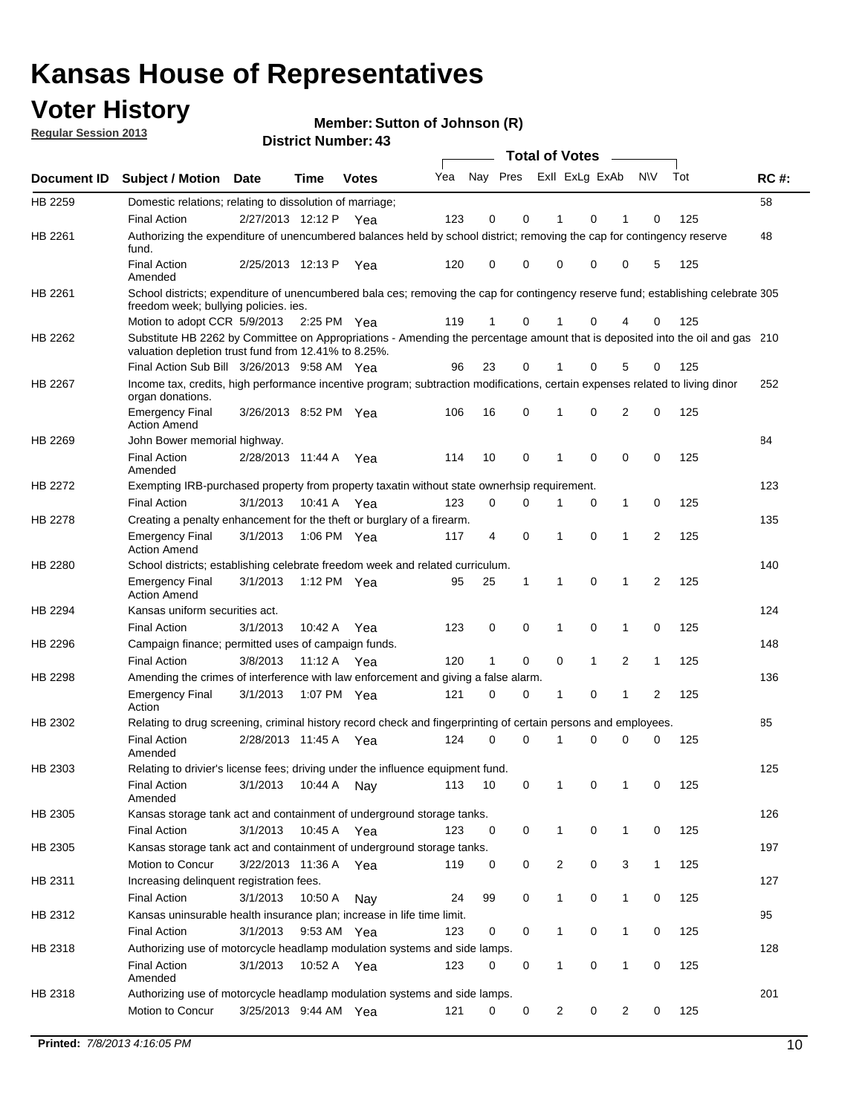## **Voter History**

**Member: Sutton of Johnson (R)** 

**Regular Session 2013**

|             |                                                                                                                                                                                       |                       | טד . וסעווואזו וטווע |              |     |                         |             | <b>Total of Votes</b> |              | $\overline{\phantom{a}}$ |              |     |             |
|-------------|---------------------------------------------------------------------------------------------------------------------------------------------------------------------------------------|-----------------------|----------------------|--------------|-----|-------------------------|-------------|-----------------------|--------------|--------------------------|--------------|-----|-------------|
| Document ID | <b>Subject / Motion Date</b>                                                                                                                                                          |                       | <b>Time</b>          | <b>Votes</b> | Yea | Nay Pres Exll ExLg ExAb |             |                       |              |                          | <b>NV</b>    | Tot | <b>RC#:</b> |
| HB 2259     | Domestic relations; relating to dissolution of marriage;                                                                                                                              |                       |                      |              |     |                         |             |                       |              |                          |              |     | 58          |
|             | <b>Final Action</b>                                                                                                                                                                   | 2/27/2013 12:12 P     |                      | Yea          | 123 | 0                       | 0           | 1                     | 0            | 1                        | $\Omega$     | 125 |             |
| HB 2261     | Authorizing the expenditure of unencumbered balances held by school district; removing the cap for contingency reserve<br>fund.                                                       |                       |                      |              |     |                         |             |                       |              |                          |              |     | 48          |
|             | <b>Final Action</b><br>Amended                                                                                                                                                        | 2/25/2013 12:13 P     |                      | Yea          | 120 | 0                       | 0           | 0                     | 0            | 0                        | 5            | 125 |             |
| HB 2261     | School districts; expenditure of unencumbered bala ces; removing the cap for contingency reserve fund; establishing celebrate 305<br>freedom week; bullying policies. ies.            |                       |                      |              |     |                         |             |                       |              |                          |              |     |             |
|             | Motion to adopt CCR 5/9/2013                                                                                                                                                          |                       | 2:25 PM Yea          |              | 119 | 1                       | 0           |                       | 0            | 4                        | 0            | 125 |             |
| HB 2262     | Substitute HB 2262 by Committee on Appropriations - Amending the percentage amount that is deposited into the oil and gas 210<br>valuation depletion trust fund from 12.41% to 8.25%. |                       |                      |              |     |                         |             |                       |              |                          |              |     |             |
|             | Final Action Sub Bill 3/26/2013 9:58 AM Yea                                                                                                                                           |                       |                      |              | 96  | 23                      | 0           |                       | 0            | 5                        | 0            | 125 |             |
| HB 2267     | Income tax, credits, high performance incentive program; subtraction modifications, certain expenses related to living dinor<br>organ donations.                                      |                       |                      |              |     |                         |             |                       |              |                          |              |     | 252         |
|             | <b>Emergency Final</b><br><b>Action Amend</b>                                                                                                                                         | 3/26/2013 8:52 PM Yea |                      |              | 106 | 16                      | 0           | 1                     | 0            | 2                        | 0            | 125 |             |
| HB 2269     | John Bower memorial highway.                                                                                                                                                          |                       |                      |              |     |                         |             |                       |              |                          |              |     | 84          |
|             | <b>Final Action</b><br>Amended                                                                                                                                                        | 2/28/2013 11:44 A Yea |                      |              | 114 | 10                      | 0           | 1                     | 0            | 0                        | 0            | 125 |             |
| HB 2272     | Exempting IRB-purchased property from property taxatin without state ownerhsip requirement.                                                                                           |                       |                      |              |     |                         |             |                       |              |                          |              |     | 123         |
|             | <b>Final Action</b>                                                                                                                                                                   | 3/1/2013              | 10:41 A              | Yea          | 123 | 0                       | 0           | 1                     | 0            | $\mathbf{1}$             | 0            | 125 |             |
| HB 2278     | Creating a penalty enhancement for the theft or burglary of a firearm.                                                                                                                |                       |                      |              |     |                         |             |                       |              |                          |              |     | 135         |
|             | <b>Emergency Final</b><br><b>Action Amend</b>                                                                                                                                         | 3/1/2013              | 1:06 PM Yea          |              | 117 | 4                       | $\mathbf 0$ | 1                     | 0            | 1                        | 2            | 125 |             |
| HB 2280     | School districts; establishing celebrate freedom week and related curriculum.                                                                                                         |                       |                      |              |     |                         |             |                       |              |                          |              |     | 140         |
|             | <b>Emergency Final</b><br><b>Action Amend</b>                                                                                                                                         | 3/1/2013              | 1:12 PM Yea          |              | 95  | 25                      | 1           | 1                     | 0            | 1                        | 2            | 125 |             |
| HB 2294     | Kansas uniform securities act.                                                                                                                                                        |                       |                      |              |     |                         |             |                       |              |                          |              |     | 124         |
|             | <b>Final Action</b>                                                                                                                                                                   | 3/1/2013              | 10:42 A              | Yea          | 123 | 0                       | 0           | 1                     | 0            | $\mathbf{1}$             | 0            | 125 |             |
| HB 2296     | Campaign finance; permitted uses of campaign funds.                                                                                                                                   |                       |                      |              |     |                         |             |                       |              |                          |              |     | 148         |
|             | <b>Final Action</b>                                                                                                                                                                   | 3/8/2013              | 11:12 A Yea          |              | 120 | $\mathbf{1}$            | 0           | 0                     | $\mathbf{1}$ | 2                        | $\mathbf{1}$ | 125 |             |
| HB 2298     | Amending the crimes of interference with law enforcement and giving a false alarm.                                                                                                    |                       |                      |              |     |                         |             |                       |              |                          |              |     | 136         |
|             | <b>Emergency Final</b><br>Action                                                                                                                                                      | 3/1/2013              | 1:07 PM Yea          |              | 121 | 0                       | 0           | 1                     | 0            | 1                        | 2            | 125 |             |
| HB 2302     | Relating to drug screening, criminal history record check and fingerprinting of certain persons and employees.                                                                        |                       |                      |              |     |                         |             |                       |              |                          |              |     | 85          |
|             | <b>Final Action</b><br>Amended                                                                                                                                                        | 2/28/2013 11:45 A     |                      | Yea          | 124 | 0                       | $\Omega$    | 1                     | 0            | 0                        | $\mathbf 0$  | 125 |             |
| HB 2303     | Relating to drivier's license fees; driving under the influence equipment fund.                                                                                                       |                       |                      |              |     |                         |             |                       |              |                          |              |     | 125         |
|             | <b>Final Action</b><br>Amended                                                                                                                                                        | 3/1/2013              | 10:44 A              | Nay          | 113 | 10                      | 0           | 1                     | 0            | 1                        | 0            | 125 |             |
| HB 2305     | Kansas storage tank act and containment of underground storage tanks.                                                                                                                 |                       |                      |              |     |                         |             |                       |              |                          |              |     | 126         |
|             | <b>Final Action</b>                                                                                                                                                                   | 3/1/2013              | 10:45 A              | Yea          | 123 | 0                       | 0           | 1                     | 0            | 1                        | 0            | 125 |             |
| HB 2305     | Kansas storage tank act and containment of underground storage tanks.                                                                                                                 |                       |                      |              |     |                         |             |                       |              |                          |              |     | 197         |
|             | Motion to Concur                                                                                                                                                                      | 3/22/2013 11:36 A     |                      | Yea          | 119 | 0                       | 0           | 2                     | 0            | 3                        | $\mathbf{1}$ | 125 |             |
| HB 2311     | Increasing delinquent registration fees.                                                                                                                                              |                       |                      |              |     |                         |             |                       |              |                          |              |     | 127         |
|             | <b>Final Action</b>                                                                                                                                                                   | 3/1/2013              | 10:50 A              | Nay          | 24  | 99                      | 0           | $\mathbf{1}$          | 0            | 1                        | 0            | 125 |             |
| HB 2312     | Kansas uninsurable health insurance plan; increase in life time limit.                                                                                                                |                       |                      |              |     |                         |             |                       |              |                          |              |     | 95          |
|             | <b>Final Action</b>                                                                                                                                                                   | 3/1/2013              | 9:53 AM Yea          |              | 123 | 0                       | 0           | 1                     | 0            | 1                        | 0            | 125 |             |
| HB 2318     | Authorizing use of motorcycle headlamp modulation systems and side lamps.                                                                                                             |                       |                      |              |     |                         |             |                       |              |                          |              |     | 128         |
|             | <b>Final Action</b><br>Amended                                                                                                                                                        | 3/1/2013              | 10:52 A              | Yea          | 123 | 0                       | 0           | 1                     | 0            | 1                        | 0            | 125 |             |
| HB 2318     | Authorizing use of motorcycle headlamp modulation systems and side lamps.                                                                                                             |                       |                      |              |     |                         |             |                       |              |                          |              |     | 201         |
|             | Motion to Concur                                                                                                                                                                      | 3/25/2013 9:44 AM Yea |                      |              | 121 | 0                       | 0           | 2                     | 0            | 2                        | 0            | 125 |             |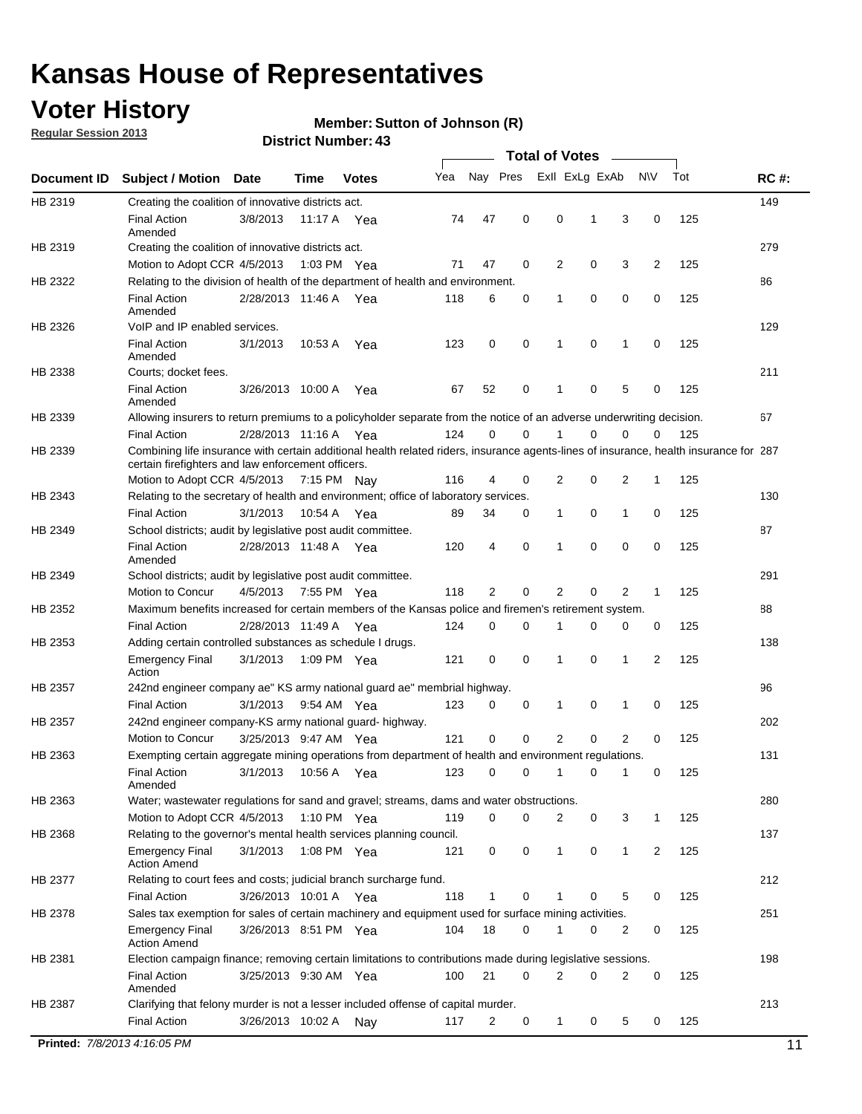## **Voter History**

**Member: Sutton of Johnson (R)** 

**Regular Session 2013**

**District Number: 43**

|             |                                                                     |                       |             |              |                                                                                                                                       |                  | <b>Total of Votes</b> |             |                |              |     |             |
|-------------|---------------------------------------------------------------------|-----------------------|-------------|--------------|---------------------------------------------------------------------------------------------------------------------------------------|------------------|-----------------------|-------------|----------------|--------------|-----|-------------|
| Document ID | <b>Subject / Motion</b>                                             | <b>Date</b>           | Time        | <b>Votes</b> | Yea                                                                                                                                   | Nay Pres         | Exll ExLg ExAb        |             | <b>NV</b>      |              | Tot | <b>RC#:</b> |
| HB 2319     | Creating the coalition of innovative districts act.                 |                       |             |              |                                                                                                                                       |                  |                       |             |                |              |     | 149         |
|             | <b>Final Action</b><br>Amended                                      | 3/8/2013              |             | 11:17 A Yea  | 74                                                                                                                                    | 47<br>0          | 0                     | 1           | 3              | 0            | 125 |             |
| HB 2319     | Creating the coalition of innovative districts act.                 |                       |             |              |                                                                                                                                       |                  |                       |             |                |              |     | 279         |
|             | Motion to Adopt CCR 4/5/2013                                        |                       |             | 1:03 PM Yea  | 71                                                                                                                                    | 47<br>0          | 2                     | 0           | 3              | 2            | 125 |             |
| HB 2322     |                                                                     |                       |             |              | Relating to the division of health of the department of health and environment.                                                       |                  |                       |             |                |              |     | 86          |
|             | <b>Final Action</b><br>Amended                                      | 2/28/2013 11:46 A Yea |             |              | 118                                                                                                                                   | 0<br>6           | 1                     | 0           | 0              | 0            | 125 |             |
| HB 2326     | VoIP and IP enabled services.                                       |                       |             |              |                                                                                                                                       |                  |                       |             |                |              |     | 129         |
|             | <b>Final Action</b><br>Amended                                      | 3/1/2013              | 10:53 A     | Yea          | 123                                                                                                                                   | 0<br>0           | 1                     | $\mathbf 0$ | 1              | 0            | 125 |             |
| HB 2338     | Courts; docket fees.                                                |                       |             |              |                                                                                                                                       |                  |                       |             |                |              |     | 211         |
|             | <b>Final Action</b><br>Amended                                      | 3/26/2013 10:00 A     |             | Yea          | 67                                                                                                                                    | 0<br>52          | 1                     | 0           | 5              | 0            | 125 |             |
| HB 2339     |                                                                     |                       |             |              | Allowing insurers to return premiums to a policyholder separate from the notice of an adverse underwriting decision.                  |                  |                       |             |                |              |     | 67          |
|             | <b>Final Action</b>                                                 | 2/28/2013 11:16 A Yea |             |              | 124                                                                                                                                   | 0<br>0           | 1                     | 0           | 0              | 0            | 125 |             |
| HB 2339     | certain firefighters and law enforcement officers.                  |                       |             |              | Combining life insurance with certain additional health related riders, insurance agents-lines of insurance, health insurance for 287 |                  |                       |             |                |              |     |             |
|             | Motion to Adopt CCR 4/5/2013 7:15 PM Nay                            |                       |             |              | 116                                                                                                                                   | 4<br>0           | 2                     | 0           | 2              | 1            | 125 |             |
| HB 2343     |                                                                     |                       |             |              | Relating to the secretary of health and environment; office of laboratory services.                                                   |                  |                       |             |                |              |     | 130         |
|             | <b>Final Action</b>                                                 | 3/1/2013              | 10:54 A Yea |              | 89                                                                                                                                    | 34<br>0          | 1                     | 0           | 1              | 0            | 125 |             |
| HB 2349     | School districts; audit by legislative post audit committee.        |                       |             |              |                                                                                                                                       |                  |                       |             |                |              |     | 87          |
|             | <b>Final Action</b><br>Amended                                      | 2/28/2013 11:48 A Yea |             |              | 120                                                                                                                                   | 4<br>0           | 1                     | 0           | 0              | $\mathbf 0$  | 125 |             |
| HB 2349     | School districts; audit by legislative post audit committee.        |                       |             |              |                                                                                                                                       |                  |                       |             |                |              |     | 291         |
|             | Motion to Concur                                                    | 4/5/2013              |             | 7:55 PM Yea  | 118                                                                                                                                   | 2<br>0           | 2                     | 0           | 2              | $\mathbf{1}$ | 125 |             |
| HB 2352     |                                                                     |                       |             |              | Maximum benefits increased for certain members of the Kansas police and firemen's retirement system.                                  |                  |                       |             |                |              |     | 88          |
|             | <b>Final Action</b>                                                 | 2/28/2013 11:49 A     |             | Yea          | 124                                                                                                                                   | 0<br>0           | 1                     | 0           | 0              | 0            | 125 |             |
| HB 2353     | Adding certain controlled substances as schedule I drugs.           |                       |             |              |                                                                                                                                       |                  |                       |             |                |              |     | 138         |
|             | <b>Emergency Final</b><br>Action                                    | 3/1/2013              |             | 1:09 PM Yea  | 121                                                                                                                                   | 0<br>0           | $\mathbf 1$           | 0           | 1              | 2            | 125 |             |
| HB 2357     |                                                                     |                       |             |              | 242nd engineer company ae" KS army national guard ae" membrial highway.                                                               |                  |                       |             |                |              |     | 96          |
|             | <b>Final Action</b>                                                 | 3/1/2013              |             | 9:54 AM Yea  | 123                                                                                                                                   | 0<br>0           | 1                     | 0           | 1              | 0            | 125 |             |
| HB 2357     | 242nd engineer company-KS army national guard- highway.             |                       |             |              |                                                                                                                                       |                  |                       |             |                |              |     | 202         |
|             | Motion to Concur                                                    | 3/25/2013 9:47 AM Yea |             |              | 121                                                                                                                                   | $\mathbf 0$<br>0 | 2                     | 0           | $\overline{2}$ | 0            | 125 |             |
| HB 2363     |                                                                     |                       |             |              | Exempting certain aggregate mining operations from department of health and environment regulations.                                  |                  |                       |             |                |              |     | 131         |
|             | <b>Final Action</b><br>Amended                                      | 3/1/2013              |             | 10:56 A Yea  | 123                                                                                                                                   | 0<br>0           | $\mathbf{1}$          | 0           | 1              | 0            | 125 |             |
| HB 2363     |                                                                     |                       |             |              | Water; wastewater regulations for sand and gravel; streams, dams and water obstructions.                                              |                  |                       |             |                |              |     | 280         |
|             | Motion to Adopt CCR 4/5/2013                                        |                       |             | 1:10 PM Yea  | 119                                                                                                                                   | 0<br>0           | 2                     | 0           | 3              | 1            | 125 |             |
| HB 2368     | Relating to the governor's mental health services planning council. |                       |             |              |                                                                                                                                       |                  |                       |             |                |              |     | 137         |
|             | <b>Emergency Final</b><br><b>Action Amend</b>                       | 3/1/2013              |             | 1:08 PM Yea  | 121                                                                                                                                   | 0<br>0           | 1                     | 0           | 1              | 2            | 125 |             |
| HB 2377     | Relating to court fees and costs; judicial branch surcharge fund.   |                       |             |              |                                                                                                                                       |                  |                       |             |                |              |     | 212         |
|             | <b>Final Action</b>                                                 | 3/26/2013 10:01 A Yea |             |              | 118                                                                                                                                   | 1<br>0           | 1                     | 0           | 5              | 0            | 125 |             |
| HB 2378     |                                                                     |                       |             |              | Sales tax exemption for sales of certain machinery and equipment used for surface mining activities.                                  |                  |                       |             |                |              |     | 251         |
|             | <b>Emergency Final</b><br><b>Action Amend</b>                       | 3/26/2013 8:51 PM Yea |             |              | 104                                                                                                                                   | 18<br>0          | 1                     | 0           | 2              | 0            | 125 |             |
| HB 2381     |                                                                     |                       |             |              | Election campaign finance; removing certain limitations to contributions made during legislative sessions.                            |                  |                       |             |                |              |     | 198         |
|             | <b>Final Action</b><br>Amended                                      | 3/25/2013 9:30 AM Yea |             |              | 100                                                                                                                                   | 21<br>0          | 2                     | 0           | $\overline{2}$ | 0            | 125 |             |
| HB 2387     |                                                                     |                       |             |              | Clarifying that felony murder is not a lesser included offense of capital murder.                                                     |                  |                       |             |                |              |     | 213         |
|             | <b>Final Action</b>                                                 | 3/26/2013 10:02 A     |             | Nay          | 117                                                                                                                                   | 2<br>0           | $\mathbf 1$           | 0           | 5              | 0            | 125 |             |

**Printed:** *7/8/2013 4:16:05 PM* 11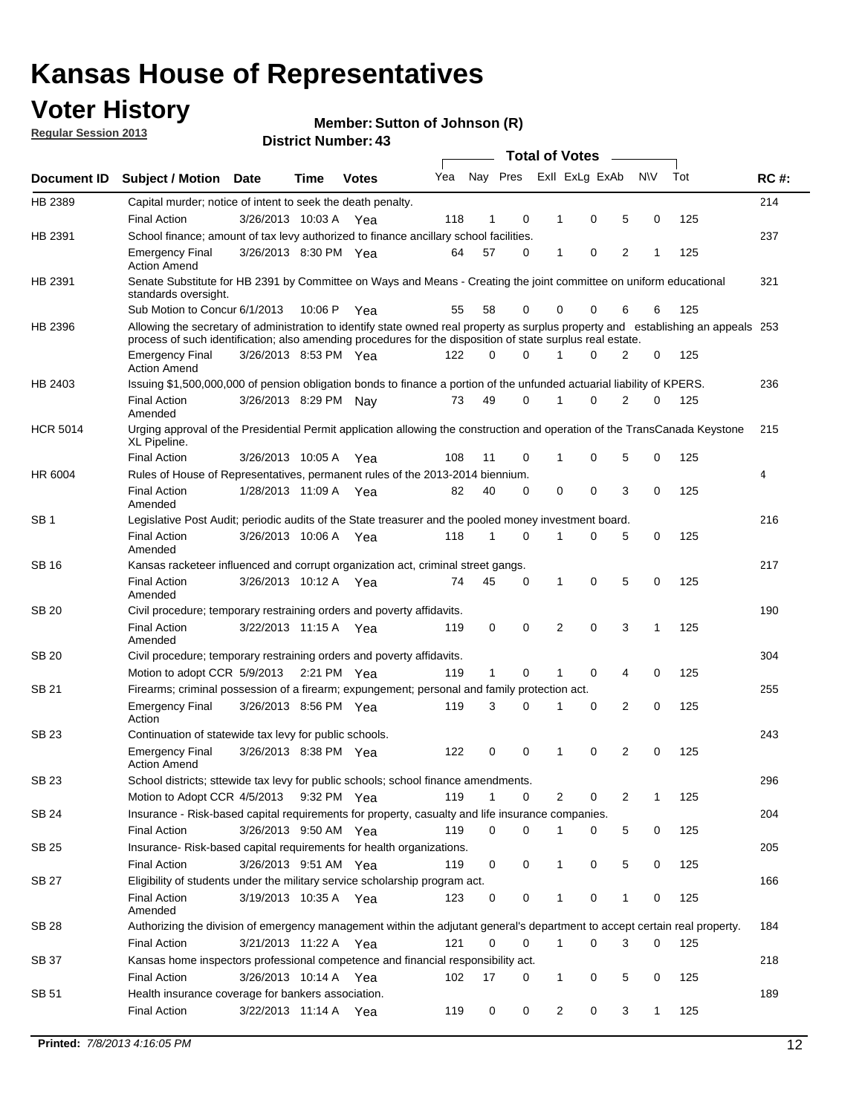## **Voter History**

**Member: Sutton of Johnson (R)** 

**Regular Session 2013**

|                 |                                                                                                                                                                                                                                                  |                       |             |              |     |              |          | <b>Total of Votes</b> |   |   |              |     |             |
|-----------------|--------------------------------------------------------------------------------------------------------------------------------------------------------------------------------------------------------------------------------------------------|-----------------------|-------------|--------------|-----|--------------|----------|-----------------------|---|---|--------------|-----|-------------|
| Document ID     | Subject / Motion Date                                                                                                                                                                                                                            |                       | Time        | <b>Votes</b> | Yea | Nay Pres     |          | Exll ExLg ExAb        |   |   | <b>NV</b>    | Tot | <b>RC#:</b> |
| HB 2389         | Capital murder; notice of intent to seek the death penalty.                                                                                                                                                                                      |                       |             |              |     |              |          |                       |   |   |              |     | 214         |
|                 | <b>Final Action</b>                                                                                                                                                                                                                              | 3/26/2013 10:03 A     |             | Yea          | 118 | 1            | 0        | 1                     | 0 | 5 | 0            | 125 |             |
| HB 2391         | School finance; amount of tax levy authorized to finance ancillary school facilities.                                                                                                                                                            |                       |             |              |     |              |          |                       |   |   |              |     | 237         |
|                 | <b>Emergency Final</b><br><b>Action Amend</b>                                                                                                                                                                                                    | 3/26/2013 8:30 PM Yea |             |              | 64  | 57           | 0        | 1                     | 0 | 2 | 1            | 125 |             |
| HB 2391         | Senate Substitute for HB 2391 by Committee on Ways and Means - Creating the joint committee on uniform educational<br>standards oversight.                                                                                                       |                       |             |              |     |              |          |                       |   |   |              |     | 321         |
|                 | Sub Motion to Concur 6/1/2013                                                                                                                                                                                                                    |                       | 10:06 P     | Yea          | 55  | 58           | 0        | 0                     | 0 | 6 | 6            | 125 |             |
| HB 2396         | Allowing the secretary of administration to identify state owned real property as surplus property and establishing an appeals 253<br>process of such identification; also amending procedures for the disposition of state surplus real estate. |                       |             |              |     |              |          |                       |   |   |              |     |             |
|                 | <b>Emergency Final</b><br>Action Amend                                                                                                                                                                                                           | 3/26/2013 8:53 PM Yea |             |              | 122 | 0            | 0        |                       | 0 | 2 | 0            | 125 |             |
| HB 2403         | Issuing \$1,500,000,000 of pension obligation bonds to finance a portion of the unfunded actuarial liability of KPERS.                                                                                                                           |                       |             |              |     |              |          |                       |   |   |              |     | 236         |
|                 | <b>Final Action</b><br>Amended                                                                                                                                                                                                                   | 3/26/2013 8:29 PM Nay |             |              | 73  | 49           | 0        | 1                     | 0 | 2 | 0            | 125 |             |
| <b>HCR 5014</b> | Urging approval of the Presidential Permit application allowing the construction and operation of the TransCanada Keystone<br>XL Pipeline.                                                                                                       |                       |             |              |     |              |          |                       |   |   |              |     | 215         |
|                 | <b>Final Action</b>                                                                                                                                                                                                                              | 3/26/2013 10:05 A     |             | Yea          | 108 | 11           | 0        |                       | 0 | 5 | 0            | 125 |             |
| HR 6004         | Rules of House of Representatives, permanent rules of the 2013-2014 biennium.                                                                                                                                                                    |                       |             |              |     |              |          |                       |   |   |              |     | 4           |
|                 | <b>Final Action</b><br>Amended                                                                                                                                                                                                                   | 1/28/2013 11:09 A     |             | Yea          | 82  | 40           | 0        | 0                     | 0 | 3 | 0            | 125 |             |
| SB 1            | Legislative Post Audit; periodic audits of the State treasurer and the pooled money investment board.                                                                                                                                            |                       |             |              |     |              |          |                       |   |   |              |     | 216         |
|                 | <b>Final Action</b><br>Amended                                                                                                                                                                                                                   | 3/26/2013 10:06 A     |             | Yea          | 118 | 1            | 0        | 1                     | 0 | 5 | 0            | 125 |             |
| SB 16           | Kansas racketeer influenced and corrupt organization act, criminal street gangs.                                                                                                                                                                 |                       |             |              |     |              |          |                       |   |   |              |     | 217         |
|                 | <b>Final Action</b><br>Amended                                                                                                                                                                                                                   | 3/26/2013 10:12 A Yea |             |              | 74  | 45           | 0        | 1                     | 0 | 5 | 0            | 125 |             |
| SB 20           | Civil procedure; temporary restraining orders and poverty affidavits.                                                                                                                                                                            |                       |             |              |     |              |          |                       |   |   |              |     | 190         |
|                 | <b>Final Action</b><br>Amended                                                                                                                                                                                                                   | 3/22/2013 11:15 A     |             | Yea          | 119 | 0            | 0        | 2                     | 0 | 3 | 1            | 125 |             |
| SB 20           | Civil procedure; temporary restraining orders and poverty affidavits.                                                                                                                                                                            |                       |             |              |     |              |          |                       |   |   |              |     | 304         |
|                 | Motion to adopt CCR 5/9/2013                                                                                                                                                                                                                     |                       | 2:21 PM Yea |              | 119 | $\mathbf{1}$ | 0        | 1                     | 0 | 4 | 0            | 125 |             |
| SB 21           | Firearms; criminal possession of a firearm; expungement; personal and family protection act.                                                                                                                                                     |                       |             |              |     |              |          |                       |   |   |              |     | 255         |
|                 | <b>Emergency Final</b><br>Action                                                                                                                                                                                                                 | 3/26/2013 8:56 PM Yea |             |              | 119 | 3            | 0        |                       | 0 | 2 | 0            | 125 |             |
| SB 23           | Continuation of statewide tax levy for public schools.                                                                                                                                                                                           |                       |             |              |     |              |          |                       |   |   |              |     | 243         |
|                 | <b>Emergency Final</b><br><b>Action Amend</b>                                                                                                                                                                                                    | 3/26/2013 8:38 PM Yea |             |              | 122 | 0            | 0        | 1                     | 0 | 2 | 0            | 125 |             |
| <b>SB 23</b>    | School districts; sttewide tax levy for public schools; school finance amendments.                                                                                                                                                               |                       |             |              |     |              |          |                       |   |   |              |     | 296         |
|                 | Motion to Adopt CCR 4/5/2013 9:32 PM Yea                                                                                                                                                                                                         |                       |             |              | 119 | 1            | 0        | 2                     | 0 | 2 | 1            | 125 |             |
| <b>SB 24</b>    | Insurance - Risk-based capital requirements for property, casualty and life insurance companies.                                                                                                                                                 |                       |             |              |     |              |          |                       |   |   |              |     | 204         |
|                 | <b>Final Action</b>                                                                                                                                                                                                                              | 3/26/2013 9:50 AM Yea |             |              | 119 | 0            | 0        |                       | 0 | 5 | 0            | 125 |             |
| SB 25           | Insurance-Risk-based capital requirements for health organizations.                                                                                                                                                                              |                       |             |              |     |              |          |                       |   |   |              |     | 205         |
|                 | <b>Final Action</b>                                                                                                                                                                                                                              | 3/26/2013 9:51 AM Yea |             |              | 119 | 0            | 0        | 1                     | 0 | 5 | 0            | 125 |             |
| SB 27           | Eligibility of students under the military service scholarship program act.                                                                                                                                                                      |                       |             |              |     |              |          |                       |   |   |              |     | 166         |
|                 | <b>Final Action</b><br>Amended                                                                                                                                                                                                                   | 3/19/2013 10:35 A Yea |             |              | 123 | 0            | 0        |                       | 0 | 1 | 0            | 125 |             |
| SB 28           | Authorizing the division of emergency management within the adjutant general's department to accept certain real property.                                                                                                                       |                       |             |              |     |              |          |                       |   |   |              |     | 184         |
|                 | <b>Final Action</b>                                                                                                                                                                                                                              | 3/21/2013 11:22 A Yea |             |              | 121 | 0            | $\Omega$ | 1                     | 0 | 3 | $\Omega$     | 125 |             |
| SB 37           | Kansas home inspectors professional competence and financial responsibility act.                                                                                                                                                                 |                       |             |              |     |              |          |                       |   |   |              |     | 218         |
|                 | <b>Final Action</b>                                                                                                                                                                                                                              | 3/26/2013 10:14 A Yea |             |              | 102 | 17           | 0        | 1                     | 0 | 5 | 0            | 125 |             |
| SB 51           | Health insurance coverage for bankers association.                                                                                                                                                                                               |                       |             |              |     |              |          |                       |   |   |              |     | 189         |
|                 | <b>Final Action</b>                                                                                                                                                                                                                              | 3/22/2013 11:14 A Yea |             |              | 119 | 0            | 0        | 2                     | 0 | 3 | $\mathbf{1}$ | 125 |             |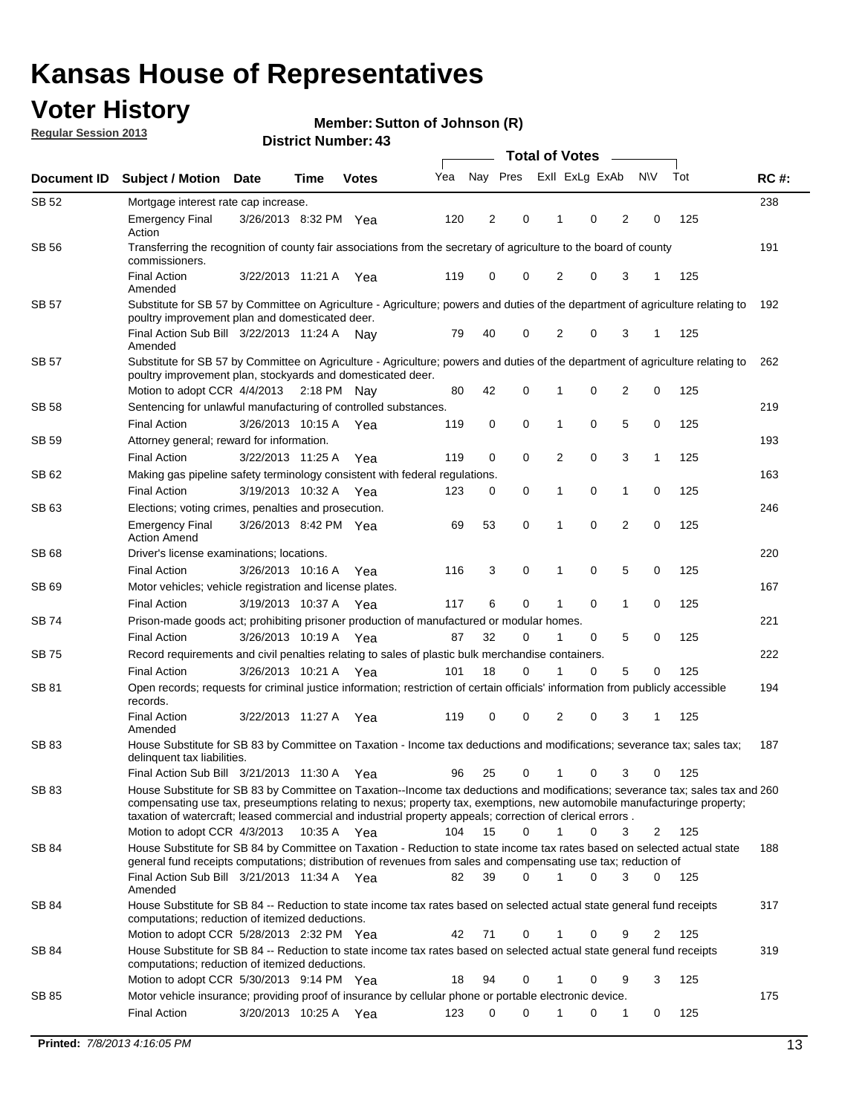## **Voter History**

**Member: Sutton of Johnson (R)** 

**Regular Session 2013**

|              |                                                                                                                                                                                                                                            |                       |             |              |     | <b>Total of Votes</b> |             |                |   |                |             |     |             |  |
|--------------|--------------------------------------------------------------------------------------------------------------------------------------------------------------------------------------------------------------------------------------------|-----------------------|-------------|--------------|-----|-----------------------|-------------|----------------|---|----------------|-------------|-----|-------------|--|
| Document ID  | <b>Subject / Motion Date</b>                                                                                                                                                                                                               |                       | Time        | <b>Votes</b> | Yea | Nay Pres              |             | Exll ExLg ExAb |   |                | <b>NV</b>   | Tot | <b>RC#:</b> |  |
| SB 52        | Mortgage interest rate cap increase.                                                                                                                                                                                                       |                       |             |              |     |                       |             |                |   |                |             |     | 238         |  |
|              | <b>Emergency Final</b><br>Action                                                                                                                                                                                                           | 3/26/2013 8:32 PM Yea |             |              | 120 | 2                     | 0           |                | 0 | 2              | 0           | 125 |             |  |
| SB 56        | Transferring the recognition of county fair associations from the secretary of agriculture to the board of county<br>commissioners.                                                                                                        |                       |             |              |     |                       |             |                |   |                |             |     | 191         |  |
|              | <b>Final Action</b><br>Amended                                                                                                                                                                                                             | 3/22/2013 11:21 A     |             | Yea          | 119 | 0                     | 0           | 2              | 0 | 3              | 1           | 125 |             |  |
| SB 57        | Substitute for SB 57 by Committee on Agriculture - Agriculture; powers and duties of the department of agriculture relating to                                                                                                             |                       |             |              |     |                       |             |                |   |                |             |     | 192         |  |
|              | poultry improvement plan and domesticated deer.<br>Final Action Sub Bill 3/22/2013 11:24 A<br>Amended                                                                                                                                      |                       |             | Nav          | 79  | 40                    | 0           | 2              | 0 | 3              | 1           | 125 |             |  |
| SB 57        | Substitute for SB 57 by Committee on Agriculture - Agriculture; powers and duties of the department of agriculture relating to<br>poultry improvement plan, stockyards and domesticated deer.                                              |                       |             |              |     |                       |             |                |   |                |             |     | 262         |  |
|              | Motion to adopt CCR 4/4/2013 2:18 PM Nay                                                                                                                                                                                                   |                       |             |              | 80  | 42                    | 0           | 1              | 0 | 2              | 0           | 125 |             |  |
| SB 58        | Sentencing for unlawful manufacturing of controlled substances.                                                                                                                                                                            |                       |             |              |     |                       |             |                |   |                |             |     | 219         |  |
|              | <b>Final Action</b>                                                                                                                                                                                                                        | 3/26/2013 10:15 A     |             | Yea          | 119 | 0                     | 0           | 1              | 0 | 5              | 0           | 125 |             |  |
| <b>SB 59</b> | Attorney general; reward for information.                                                                                                                                                                                                  |                       |             |              |     |                       |             |                |   |                |             |     | 193         |  |
|              | <b>Final Action</b>                                                                                                                                                                                                                        | 3/22/2013 11:25 A     |             | Yea          | 119 | 0                     | 0           | 2              | 0 | 3              | 1           | 125 |             |  |
| SB 62        | Making gas pipeline safety terminology consistent with federal regulations.                                                                                                                                                                |                       |             |              |     |                       |             |                |   |                |             |     | 163         |  |
|              | <b>Final Action</b>                                                                                                                                                                                                                        | 3/19/2013 10:32 A     |             | Yea          | 123 | 0                     | 0           | 1              | 0 | 1              | 0           | 125 |             |  |
| SB 63        | Elections; voting crimes, penalties and prosecution.                                                                                                                                                                                       |                       |             |              |     |                       |             |                |   |                |             |     | 246         |  |
|              | <b>Emergency Final</b><br><b>Action Amend</b>                                                                                                                                                                                              | 3/26/2013 8:42 PM Yea |             |              | 69  | 53                    | $\mathbf 0$ | 1              | 0 | $\overline{2}$ | $\mathbf 0$ | 125 |             |  |
| SB 68        | Driver's license examinations; locations.                                                                                                                                                                                                  |                       |             |              |     |                       |             |                |   |                |             |     | 220         |  |
|              | <b>Final Action</b>                                                                                                                                                                                                                        | 3/26/2013 10:16 A     |             | Yea          | 116 | 3                     | 0           | 1              | 0 | 5              | 0           | 125 |             |  |
| SB 69        | Motor vehicles; vehicle registration and license plates.                                                                                                                                                                                   |                       |             |              |     |                       |             |                |   |                |             |     | 167         |  |
|              | <b>Final Action</b>                                                                                                                                                                                                                        | 3/19/2013 10:37 A     |             | Yea          | 117 | 6                     | 0           | 1              | 0 | $\mathbf{1}$   | 0           | 125 |             |  |
| SB 74        | Prison-made goods act; prohibiting prisoner production of manufactured or modular homes.                                                                                                                                                   |                       |             |              |     |                       |             |                |   |                |             |     | 221         |  |
|              | <b>Final Action</b>                                                                                                                                                                                                                        | 3/26/2013 10:19 A     |             | Yea          | 87  | 32                    | 0           | 1              | 0 | 5              | 0           | 125 |             |  |
| SB 75        | Record requirements and civil penalties relating to sales of plastic bulk merchandise containers.                                                                                                                                          |                       |             |              |     |                       |             |                |   |                |             |     | 222         |  |
|              | <b>Final Action</b>                                                                                                                                                                                                                        | 3/26/2013 10:21 A     |             | Yea          | 101 | 18                    | 0           | 1              | 0 | 5              | 0           | 125 |             |  |
| SB 81        | Open records; requests for criminal justice information; restriction of certain officials' information from publicly accessible<br>records.                                                                                                |                       |             |              |     |                       |             |                |   |                |             |     | 194         |  |
|              | <b>Final Action</b><br>Amended                                                                                                                                                                                                             | 3/22/2013 11:27 A     |             | Yea          | 119 | 0                     | 0           | 2              | 0 | 3              | 1           | 125 |             |  |
| <b>SB83</b>  | House Substitute for SB 83 by Committee on Taxation - Income tax deductions and modifications; severance tax; sales tax;<br>delinquent tax liabilities.<br>Final Action Sub Bill 3/21/2013 11:30 A Yea                                     |                       |             |              | 96  | 25                    | 0           | 1              | 0 | 3              | 0           | 125 | 187         |  |
| SB 83        | House Substitute for SB 83 by Committee on Taxation--Income tax deductions and modifications; severance tax; sales tax and 260                                                                                                             |                       |             |              |     |                       |             |                |   |                |             |     |             |  |
|              | compensating use tax, preseumptions relating to nexus; property tax, exemptions, new automobile manufacturinge property;<br>taxation of watercraft; leased commercial and industrial property appeals; correction of clerical errors.      |                       |             |              |     |                       |             |                |   |                |             |     |             |  |
|              | Motion to adopt CCR 4/3/2013                                                                                                                                                                                                               |                       | 10:35 A Yea |              | 104 | 15                    | 0           | $\mathbf{1}$   | 0 | 3              | 2           | 125 |             |  |
| SB 84        | House Substitute for SB 84 by Committee on Taxation - Reduction to state income tax rates based on selected actual state<br>general fund receipts computations; distribution of revenues from sales and compensating use tax; reduction of |                       |             |              |     |                       | $\Omega$    |                | 0 | 3              | $\Omega$    |     | 188         |  |
| SB 84        | Final Action Sub Bill 3/21/2013 11:34 A Yea<br>Amended<br>House Substitute for SB 84 -- Reduction to state income tax rates based on selected actual state general fund receipts                                                           |                       |             |              | 82  | 39                    |             |                |   |                |             | 125 | 317         |  |
|              | computations; reduction of itemized deductions.<br>Motion to adopt CCR 5/28/2013 2:32 PM Yea                                                                                                                                               |                       |             |              | 42  | 71                    | 0           |                | 0 | 9              | 2           | 125 |             |  |
| SB 84        | House Substitute for SB 84 -- Reduction to state income tax rates based on selected actual state general fund receipts                                                                                                                     |                       |             |              |     |                       |             |                |   |                |             |     | 319         |  |
|              | computations; reduction of itemized deductions.<br>Motion to adopt CCR 5/30/2013 9:14 PM Yea                                                                                                                                               |                       |             |              | 18  | 94                    | 0           |                | 0 | 9              | 3           | 125 |             |  |
| SB 85        | Motor vehicle insurance; providing proof of insurance by cellular phone or portable electronic device.                                                                                                                                     |                       |             |              |     |                       |             |                |   |                |             |     | 175         |  |
|              | <b>Final Action</b>                                                                                                                                                                                                                        | 3/20/2013 10:25 A Yea |             |              | 123 | 0                     | $\Omega$    |                | 0 | 1              | 0           | 125 |             |  |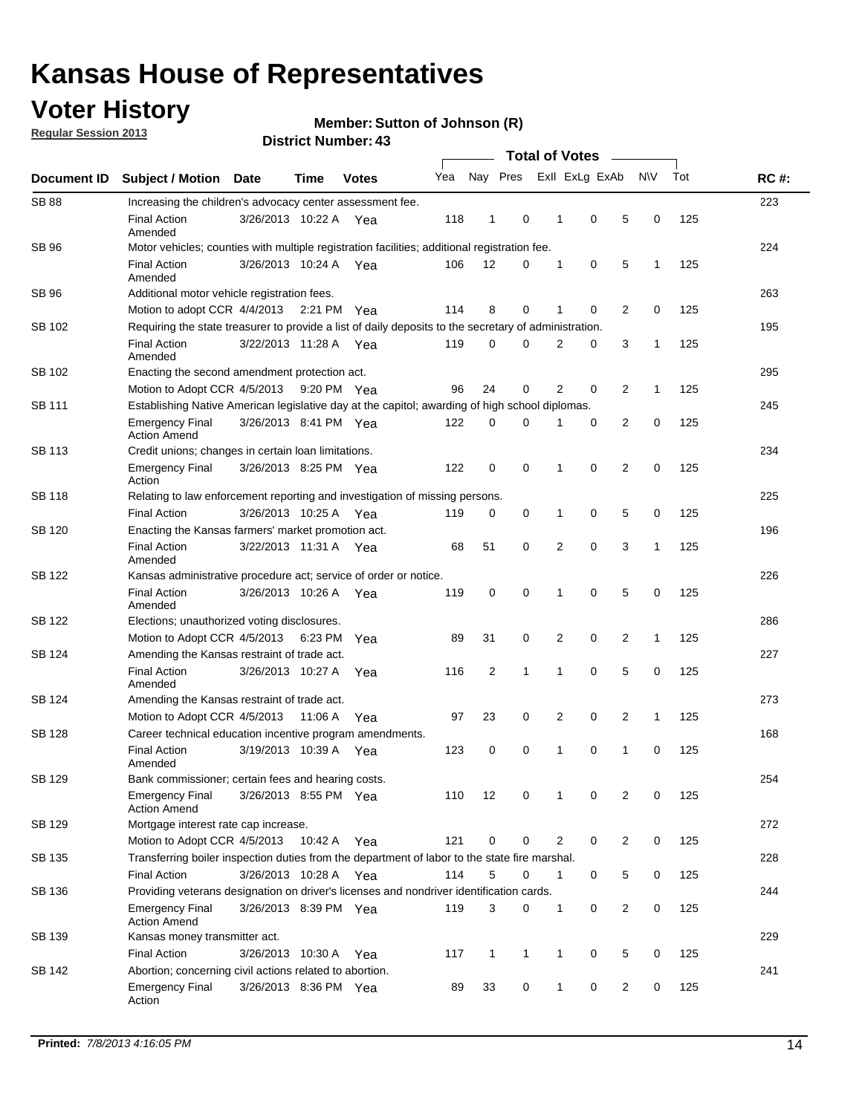## **Voter History**

**Regular Session 2013**

**Member: Sutton of Johnson (R)** 

|                    |                                                                                                       | די וסטוווער ועונוסו <b>ש</b> | <b>Total of Votes</b> |              |     |                |              |  |   |                |                |              |     |             |
|--------------------|-------------------------------------------------------------------------------------------------------|------------------------------|-----------------------|--------------|-----|----------------|--------------|--|---|----------------|----------------|--------------|-----|-------------|
| <b>Document ID</b> | <b>Subject / Motion</b>                                                                               | Date                         | Time                  | <b>Votes</b> | Yea |                | Nay Pres     |  |   | Exll ExLg ExAb |                | N\V          | Tot | <b>RC#:</b> |
| <b>SB 88</b>       | Increasing the children's advocacy center assessment fee.                                             |                              |                       |              |     |                |              |  |   |                |                |              |     | 223         |
|                    | <b>Final Action</b><br>Amended                                                                        | 3/26/2013 10:22 A Yea        |                       |              | 118 | $\mathbf{1}$   | 0            |  | 1 | 0              | 5              | 0            | 125 |             |
| SB 96              | Motor vehicles; counties with multiple registration facilities; additional registration fee.          |                              |                       |              |     |                |              |  |   |                |                |              |     | 224         |
|                    | <b>Final Action</b><br>Amended                                                                        | 3/26/2013 10:24 A            |                       | Yea          | 106 | 12             | 0            |  | 1 | 0              | 5              | 1            | 125 |             |
| SB 96              | Additional motor vehicle registration fees.                                                           |                              |                       |              |     |                |              |  |   |                |                |              |     | 263         |
|                    | Motion to adopt CCR 4/4/2013 2:21 PM Yea                                                              |                              |                       |              | 114 | 8              | $\mathbf 0$  |  | 1 | 0              | 2              | 0            | 125 |             |
| SB 102             | Requiring the state treasurer to provide a list of daily deposits to the secretary of administration. |                              |                       |              |     |                |              |  |   |                |                |              |     | 195         |
|                    | <b>Final Action</b><br>Amended                                                                        | 3/22/2013 11:28 A Yea        |                       |              | 119 | 0              | 0            |  | 2 | 0              | 3              | 1            | 125 |             |
| SB 102             | Enacting the second amendment protection act.                                                         |                              |                       |              |     |                |              |  |   |                |                |              |     | 295         |
|                    | Motion to Adopt CCR 4/5/2013 9:20 PM Yea                                                              |                              |                       |              | 96  | 24             | 0            |  | 2 | 0              | $\overline{2}$ | $\mathbf{1}$ | 125 |             |
| <b>SB 111</b>      | Establishing Native American legislative day at the capitol; awarding of high school diplomas.        |                              |                       |              |     |                |              |  |   |                |                |              |     | 245         |
|                    | <b>Emergency Final</b><br><b>Action Amend</b>                                                         | 3/26/2013 8:41 PM Yea        |                       |              | 122 | $\mathbf 0$    | $\Omega$     |  |   | 0              | 2              | 0            | 125 |             |
| <b>SB 113</b>      | Credit unions; changes in certain loan limitations.                                                   |                              |                       |              |     |                |              |  |   |                |                |              |     | 234         |
|                    | <b>Emergency Final</b><br>Action                                                                      | 3/26/2013 8:25 PM Yea        |                       |              | 122 | $\mathbf 0$    | 0            |  | 1 | 0              | $\overline{2}$ | $\mathbf 0$  | 125 |             |
| <b>SB 118</b>      | Relating to law enforcement reporting and investigation of missing persons.                           |                              |                       |              |     |                |              |  |   |                |                |              |     | 225         |
|                    | <b>Final Action</b>                                                                                   | 3/26/2013 10:25 A Yea        |                       |              | 119 | 0              | 0            |  | 1 | 0              | 5              | 0            | 125 |             |
| SB 120             | Enacting the Kansas farmers' market promotion act.                                                    |                              |                       |              |     |                |              |  |   |                |                |              |     | 196         |
|                    | <b>Final Action</b><br>Amended                                                                        | 3/22/2013 11:31 A Yea        |                       |              | 68  | 51             | 0            |  | 2 | $\mathbf 0$    | 3              | 1            | 125 |             |
| SB 122             | Kansas administrative procedure act; service of order or notice.                                      |                              |                       |              |     |                |              |  |   |                |                |              |     | 226         |
|                    | <b>Final Action</b><br>Amended                                                                        | 3/26/2013 10:26 A Yea        |                       |              | 119 | 0              | $\mathbf 0$  |  | 1 | 0              | 5              | 0            | 125 |             |
| <b>SB 122</b>      | Elections; unauthorized voting disclosures.                                                           |                              |                       |              |     |                |              |  |   |                |                |              |     | 286         |
|                    | Motion to Adopt CCR 4/5/2013                                                                          |                              | 6:23 PM               | Yea          | 89  | 31             | 0            |  | 2 | 0              | $\overline{c}$ | $\mathbf{1}$ | 125 |             |
| SB 124             | Amending the Kansas restraint of trade act.                                                           |                              |                       |              |     |                |              |  |   |                |                |              |     | 227         |
|                    | <b>Final Action</b><br>Amended                                                                        | 3/26/2013 10:27 A            |                       | Yea          | 116 | $\overline{2}$ | 1            |  | 1 | $\mathbf 0$    | 5              | $\mathbf 0$  | 125 |             |
| SB 124             | Amending the Kansas restraint of trade act.                                                           |                              |                       |              |     |                |              |  |   |                |                |              |     | 273         |
|                    | Motion to Adopt CCR 4/5/2013                                                                          |                              | 11:06 A               | Yea          | 97  | 23             | 0            |  | 2 | 0              | 2              | 1            | 125 |             |
| SB 128             | Career technical education incentive program amendments.                                              |                              |                       |              |     |                |              |  |   |                |                |              |     | 168         |
|                    | <b>Final Action</b><br>Amended                                                                        | 3/19/2013 10:39 A            |                       | Yea          | 123 | 0              | 0            |  | 1 | 0              | 1              | 0            | 125 |             |
| SB 129             | Bank commissioner; certain fees and hearing costs.                                                    |                              |                       |              |     |                |              |  |   |                |                |              |     | 254         |
|                    | Emergency Final<br><b>Action Amend</b>                                                                | 3/26/2013 8:55 PM Yea        |                       |              | 110 | 12             | 0            |  | 1 | 0              | 2              | 0            | 125 |             |
| <b>SB 129</b>      | Mortgage interest rate cap increase.                                                                  |                              |                       |              |     |                |              |  |   |                |                |              |     | 272         |
|                    | Motion to Adopt CCR 4/5/2013                                                                          |                              | 10:42 A Yea           |              | 121 | $\mathbf 0$    | 0            |  | 2 | 0              | 2              | 0            | 125 |             |
| SB 135             | Transferring boiler inspection duties from the department of labor to the state fire marshal.         |                              |                       |              |     |                |              |  |   |                |                |              |     | 228         |
|                    | <b>Final Action</b>                                                                                   | 3/26/2013 10:28 A Yea        |                       |              | 114 | 5              | 0            |  | 1 | 0              | 5              | 0            | 125 |             |
| SB 136             | Providing veterans designation on driver's licenses and nondriver identification cards.               |                              |                       |              |     |                |              |  |   |                |                |              |     | 244         |
|                    | <b>Emergency Final</b><br><b>Action Amend</b>                                                         | 3/26/2013 8:39 PM Yea        |                       |              | 119 | 3              | 0            |  | 1 | 0              | 2              | 0            | 125 |             |
| SB 139             | Kansas money transmitter act.                                                                         |                              |                       |              |     |                |              |  |   |                |                |              |     | 229         |
|                    | <b>Final Action</b>                                                                                   | 3/26/2013 10:30 A Yea        |                       |              | 117 | $\mathbf{1}$   | $\mathbf{1}$ |  | 1 | 0              | 5              | 0            | 125 |             |
| SB 142             | Abortion; concerning civil actions related to abortion.                                               |                              |                       |              |     |                |              |  |   |                |                |              |     | 241         |
|                    | <b>Emergency Final</b><br>Action                                                                      | 3/26/2013 8:36 PM Yea        |                       |              | 89  | 33             | 0            |  | 1 | 0              | $\overline{2}$ | $\mathbf 0$  | 125 |             |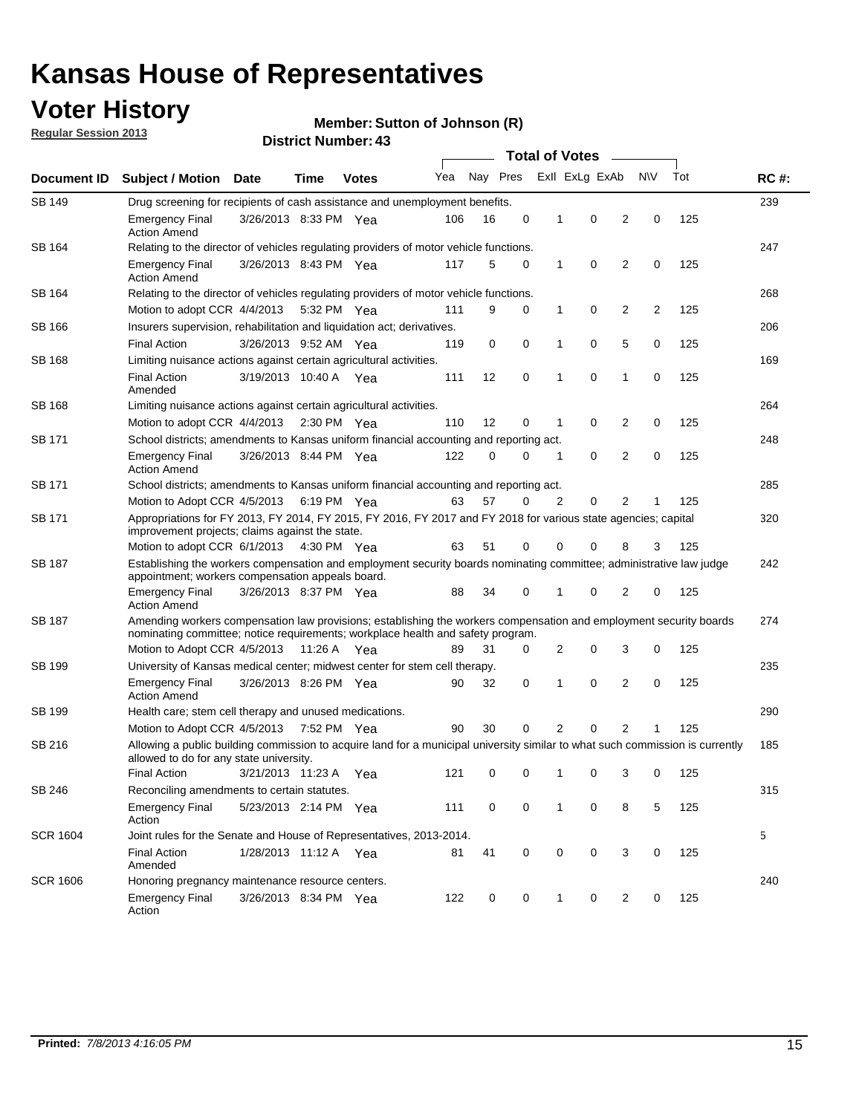## **Voter History**

**Member: Sutton of Johnson (R)** 

**Regular Session 2013**

| Document ID     |                                                                                                                                                                                                       |                                                                                                                                                                         |                       |              |     |          |             | <b>Total of Votes</b> |                |                |           |     |             |
|-----------------|-------------------------------------------------------------------------------------------------------------------------------------------------------------------------------------------------------|-------------------------------------------------------------------------------------------------------------------------------------------------------------------------|-----------------------|--------------|-----|----------|-------------|-----------------------|----------------|----------------|-----------|-----|-------------|
|                 | <b>Subject / Motion</b>                                                                                                                                                                               | <b>Date</b>                                                                                                                                                             | Time                  | <b>Votes</b> | Yea | Nay Pres |             |                       | Exll ExLg ExAb |                | <b>NV</b> | Tot | <b>RC#:</b> |
| SB 149          | 239<br>Drug screening for recipients of cash assistance and unemployment benefits.                                                                                                                    |                                                                                                                                                                         |                       |              |     |          |             |                       |                |                |           |     |             |
|                 | <b>Emergency Final</b><br><b>Action Amend</b>                                                                                                                                                         | 3/26/2013 8:33 PM Yea                                                                                                                                                   |                       |              | 106 | 16       | 0           | 1                     | 0              | 2              | 0         | 125 |             |
| SB 164          | Relating to the director of vehicles regulating providers of motor vehicle functions.                                                                                                                 |                                                                                                                                                                         |                       |              |     |          |             |                       |                |                |           |     | 247         |
|                 | <b>Emergency Final</b><br><b>Action Amend</b>                                                                                                                                                         | 3/26/2013 8:43 PM Yea                                                                                                                                                   |                       |              | 117 | 5        | 0           | 1                     | 0              | 2              | 0         | 125 |             |
| SB 164          | Relating to the director of vehicles regulating providers of motor vehicle functions.                                                                                                                 |                                                                                                                                                                         |                       |              |     |          |             |                       |                |                |           |     | 268         |
|                 | Motion to adopt CCR 4/4/2013 5:32 PM Yea                                                                                                                                                              |                                                                                                                                                                         |                       |              | 111 | 9        | 0           | 1                     | 0              | 2              | 2         | 125 |             |
| SB 166          | Insurers supervision, rehabilitation and liquidation act; derivatives.                                                                                                                                |                                                                                                                                                                         |                       |              |     |          |             |                       |                |                |           |     | 206         |
|                 | <b>Final Action</b>                                                                                                                                                                                   | 3/26/2013 9:52 AM Yea                                                                                                                                                   |                       |              | 119 | 0        | $\mathbf 0$ | 1                     | 0              | 5              | 0         | 125 |             |
| SB 168          | Limiting nuisance actions against certain agricultural activities.                                                                                                                                    |                                                                                                                                                                         |                       |              |     |          |             |                       |                |                |           |     | 169         |
|                 | Final Action<br>Amended                                                                                                                                                                               | 3/19/2013 10:40 A Yea                                                                                                                                                   |                       |              | 111 | 12       | 0           | 1                     | 0              | 1              | 0         | 125 |             |
| SB 168          | Limiting nuisance actions against certain agricultural activities.                                                                                                                                    |                                                                                                                                                                         |                       |              |     |          |             |                       |                |                |           |     | 264         |
|                 | Motion to adopt CCR 4/4/2013                                                                                                                                                                          |                                                                                                                                                                         | $2:30 \text{ PM}$ Yea |              | 110 | 12       | 0           | 1                     | 0              | 2              | 0         | 125 |             |
| SB 171          | School districts; amendments to Kansas uniform financial accounting and reporting act.                                                                                                                |                                                                                                                                                                         |                       |              |     |          |             |                       |                |                |           |     | 248         |
|                 | <b>Emergency Final</b><br><b>Action Amend</b>                                                                                                                                                         | 3/26/2013 8:44 PM Yea                                                                                                                                                   |                       |              | 122 | 0        | 0           | 1                     | 0              | $\overline{2}$ | 0         | 125 |             |
| SB 171          | School districts; amendments to Kansas uniform financial accounting and reporting act.                                                                                                                |                                                                                                                                                                         |                       |              |     |          |             |                       |                |                |           |     | 285         |
|                 | Motion to Adopt CCR 4/5/2013 6:19 PM Yea                                                                                                                                                              |                                                                                                                                                                         |                       |              | 63  | 57       | 0           | 2                     | 0              | 2              |           | 125 |             |
| SB 171          | Appropriations for FY 2013, FY 2014, FY 2015, FY 2016, FY 2017 and FY 2018 for various state agencies; capital<br>improvement projects; claims against the state.                                     |                                                                                                                                                                         |                       |              |     |          |             |                       |                |                |           |     | 320         |
|                 | Motion to adopt CCR 6/1/2013 4:30 PM Yea                                                                                                                                                              |                                                                                                                                                                         |                       |              | 63  | 51       | 0           | 0                     | 0              | 8              | 3         | 125 |             |
| SB 187          |                                                                                                                                                                                                       | Establishing the workers compensation and employment security boards nominating committee; administrative law judge<br>appointment; workers compensation appeals board. |                       |              |     |          |             |                       |                |                |           |     | 242         |
|                 | <b>Emergency Final</b><br><b>Action Amend</b>                                                                                                                                                         | 3/26/2013 8:37 PM Yea                                                                                                                                                   |                       |              | 88  | 34       | 0           | 1                     | 0              | 2              | 0         | 125 |             |
| SB 187          | Amending workers compensation law provisions; establishing the workers compensation and employment security boards<br>nominating committee; notice requirements; workplace health and safety program. |                                                                                                                                                                         |                       |              |     |          |             |                       |                |                |           |     | 274         |
|                 | Motion to Adopt CCR 4/5/2013 11:26 A Yea                                                                                                                                                              |                                                                                                                                                                         |                       |              | 89  | 31       | 0           | 2                     | 0              | 3              | 0         | 125 |             |
| SB 199          | University of Kansas medical center; midwest center for stem cell therapy.                                                                                                                            |                                                                                                                                                                         |                       |              |     |          |             |                       |                |                |           |     | 235         |
|                 | <b>Emergency Final</b><br><b>Action Amend</b>                                                                                                                                                         | 3/26/2013 8:26 PM Yea                                                                                                                                                   |                       |              | 90  | 32       | 0           | 1                     | 0              | 2              | 0         | 125 |             |
| SB 199          | Health care; stem cell therapy and unused medications.                                                                                                                                                |                                                                                                                                                                         |                       |              |     |          |             |                       |                |                |           |     | 290         |
|                 | Motion to Adopt CCR 4/5/2013                                                                                                                                                                          |                                                                                                                                                                         | 7:52 PM Yea           |              | 90  | 30       | 0           | 2                     | 0              | $\overline{2}$ |           | 125 |             |
| SB 216          | Allowing a public building commission to acquire land for a municipal university similar to what such commission is currently<br>allowed to do for any state university.                              |                                                                                                                                                                         |                       |              |     |          |             |                       |                |                |           |     | 185         |
|                 | <b>Final Action</b>                                                                                                                                                                                   | 3/21/2013 11:23 A                                                                                                                                                       |                       | Yea          | 121 | 0        | 0           | 1                     | 0              | 3              | 0         | 125 |             |
| SB 246          | Reconciling amendments to certain statutes.                                                                                                                                                           |                                                                                                                                                                         |                       |              |     |          |             |                       |                |                |           |     | 315         |
|                 | <b>Emergency Final</b><br>Action                                                                                                                                                                      | 5/23/2013 2:14 PM Yea                                                                                                                                                   |                       |              | 111 | 0        | 0           | 1                     | 0              | 8              | 5         | 125 |             |
| <b>SCR 1604</b> | Joint rules for the Senate and House of Representatives, 2013-2014.                                                                                                                                   |                                                                                                                                                                         |                       |              |     |          |             |                       |                |                |           |     | 5           |
|                 | <b>Final Action</b><br>Amended                                                                                                                                                                        | 1/28/2013 11:12 A Yea                                                                                                                                                   |                       |              | 81  | 41       | 0           | 0                     | 0              | 3              | 0         | 125 |             |
| <b>SCR 1606</b> | Honoring pregnancy maintenance resource centers.                                                                                                                                                      |                                                                                                                                                                         |                       |              |     |          |             |                       |                |                |           |     | 240         |
|                 | Emergency Final<br>Action                                                                                                                                                                             | 3/26/2013 8:34 PM Yea                                                                                                                                                   |                       |              | 122 | 0        | 0           | 1                     | 0              | 2              | 0         | 125 |             |